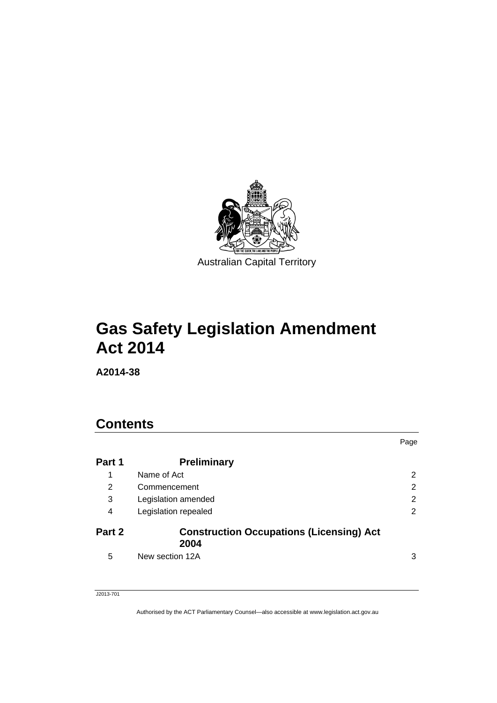

# **Gas Safety Legislation Amendment Act 2014**

**A2014-38** 

## **Contents**

|        |                                                         | Page |
|--------|---------------------------------------------------------|------|
| Part 1 | <b>Preliminary</b>                                      |      |
| 1      | Name of Act                                             | 2    |
| 2      | Commencement                                            | 2    |
| 3      | Legislation amended                                     | 2    |
| 4      | Legislation repealed                                    | 2    |
| Part 2 | <b>Construction Occupations (Licensing) Act</b><br>2004 |      |
| 5      | New section 12A                                         | 3    |

J2013-701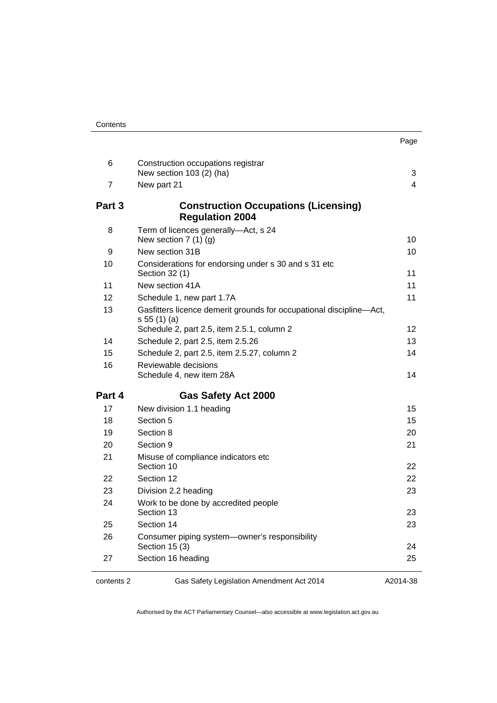| 6          | Construction occupations registrar<br>New section 103 (2) (ha)                    | 3        |
|------------|-----------------------------------------------------------------------------------|----------|
| 7          | New part 21                                                                       | 4        |
| Part 3     | <b>Construction Occupations (Licensing)</b><br><b>Regulation 2004</b>             |          |
| 8          | Term of licences generally-Act, s 24<br>New section $7(1)(g)$                     | 10       |
| 9          | New section 31B                                                                   | 10       |
| 10         | Considerations for endorsing under s 30 and s 31 etc<br>Section 32 (1)            | 11       |
| 11         | New section 41A                                                                   | 11       |
| 12         | Schedule 1, new part 1.7A                                                         | 11       |
| 13         | Gasfitters licence demerit grounds for occupational discipline-Act,<br>s 55(1)(a) |          |
|            | Schedule 2, part 2.5, item 2.5.1, column 2                                        | 12       |
| 14         | Schedule 2, part 2.5, item 2.5.26                                                 | 13       |
| 15         | Schedule 2, part 2.5, item 2.5.27, column 2                                       | 14       |
| 16         | Reviewable decisions<br>Schedule 4, new item 28A                                  | 14       |
| Part 4     | <b>Gas Safety Act 2000</b>                                                        |          |
| 17         | New division 1.1 heading                                                          | 15       |
| 18         | Section 5                                                                         | 15       |
| 19         | Section 8                                                                         | 20       |
| 20         | Section 9                                                                         | 21       |
| 21         | Misuse of compliance indicators etc<br>Section 10                                 | 22       |
| 22         | Section 12                                                                        | 22       |
| 23         | Division 2.2 heading                                                              | 23       |
| 24         | Work to be done by accredited people<br>Section 13                                | 23       |
| 25         | Section 14                                                                        | 23       |
| 26         | Consumer piping system-owner's responsibility<br>Section 15 (3)                   | 24       |
| 27         | Section 16 heading                                                                | 25       |
| contents 2 | Gas Safety Legislation Amendment Act 2014                                         | A2014-38 |

A2014-38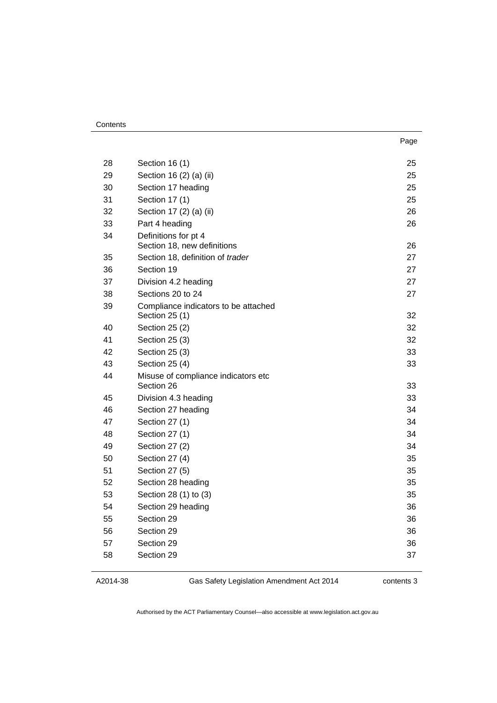| ×<br>× | I |
|--------|---|

| 28 | Section 16 (1)                       | 25 |
|----|--------------------------------------|----|
| 29 | Section 16 (2) (a) (ii)              | 25 |
| 30 | Section 17 heading                   | 25 |
| 31 | Section 17 (1)                       | 25 |
| 32 | Section 17 (2) (a) (ii)              | 26 |
| 33 | Part 4 heading                       | 26 |
| 34 | Definitions for pt 4                 |    |
|    | Section 18, new definitions          | 26 |
| 35 | Section 18, definition of trader     | 27 |
| 36 | Section 19                           | 27 |
| 37 | Division 4.2 heading                 | 27 |
| 38 | Sections 20 to 24                    | 27 |
| 39 | Compliance indicators to be attached | 32 |
| 40 | Section 25 (1)<br>Section 25 (2)     | 32 |
| 41 | Section 25 (3)                       | 32 |
| 42 | Section 25 (3)                       | 33 |
| 43 | Section 25 (4)                       | 33 |
| 44 | Misuse of compliance indicators etc  |    |
|    | Section 26                           | 33 |
| 45 | Division 4.3 heading                 | 33 |
| 46 | Section 27 heading                   | 34 |
| 47 | Section 27 (1)                       | 34 |
| 48 | Section 27 (1)                       | 34 |
| 49 | Section 27 (2)                       | 34 |
| 50 | Section 27 (4)                       | 35 |
| 51 | Section 27 (5)                       | 35 |
| 52 | Section 28 heading                   | 35 |
| 53 | Section 28 (1) to (3)                | 35 |
| 54 | Section 29 heading                   | 36 |
| 55 | Section 29                           | 36 |
| 56 | Section 29                           | 36 |
| 57 | Section 29                           | 36 |
| 58 | Section 29                           | 37 |
|    |                                      |    |

| A2014-38 |  |
|----------|--|
|----------|--|

Gas Safety Legislation Amendment Act 2014

contents 3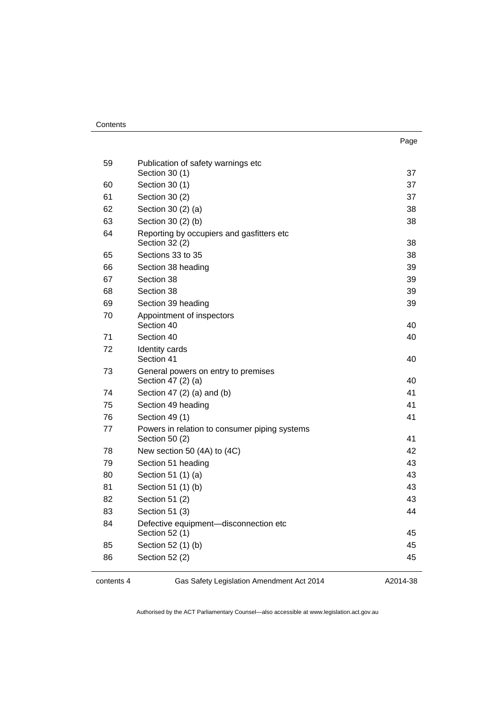| . .<br>× | ۰.<br>× |
|----------|---------|

| 59 | Publication of safety warnings etc<br>Section 30 (1)            | 37 |
|----|-----------------------------------------------------------------|----|
| 60 | Section 30 (1)                                                  | 37 |
| 61 | Section 30 (2)                                                  | 37 |
| 62 | Section 30 (2) (a)                                              | 38 |
| 63 | Section 30 (2) (b)                                              | 38 |
| 64 | Reporting by occupiers and gasfitters etc<br>Section 32 (2)     | 38 |
| 65 | Sections 33 to 35                                               | 38 |
| 66 | Section 38 heading                                              | 39 |
| 67 | Section 38                                                      | 39 |
| 68 | Section 38                                                      | 39 |
| 69 | Section 39 heading                                              | 39 |
| 70 | Appointment of inspectors<br>Section 40                         | 40 |
| 71 | Section 40                                                      | 40 |
| 72 | Identity cards<br>Section 41                                    | 40 |
| 73 | General powers on entry to premises<br>Section 47 (2) (a)       | 40 |
| 74 | Section 47 (2) (a) and (b)                                      | 41 |
| 75 | Section 49 heading                                              | 41 |
| 76 | Section 49 (1)                                                  | 41 |
| 77 | Powers in relation to consumer piping systems<br>Section 50 (2) | 41 |
| 78 | New section 50 (4A) to (4C)                                     | 42 |
| 79 | Section 51 heading                                              | 43 |
| 80 | Section 51 (1) (a)                                              | 43 |
| 81 | Section 51 (1) (b)                                              | 43 |
| 82 | Section 51 (2)                                                  | 43 |
| 83 | Section 51 (3)                                                  | 44 |
| 84 | Defective equipment-disconnection etc<br>Section 52 (1)         | 45 |
| 85 | Section 52 (1) (b)                                              | 45 |
| 86 | Section 52 (2)                                                  | 45 |
|    |                                                                 |    |

contents 4 Gas Safety Legislation Amendment Act 2014

A2014-38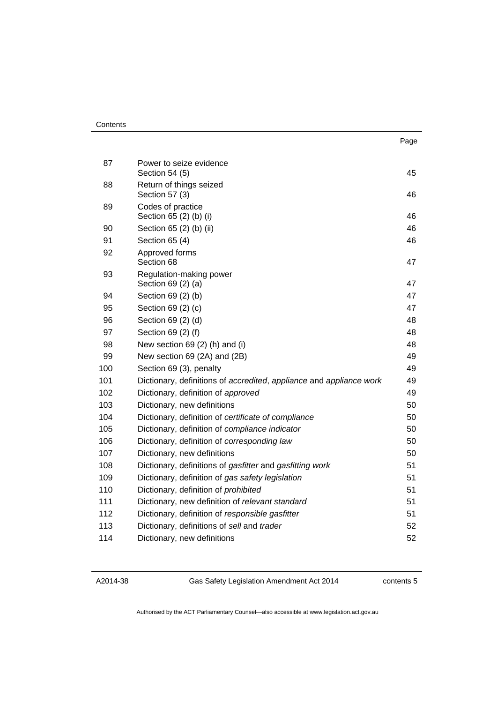#### **Contents**

| 87  | Power to seize evidence<br>Section 54 (5)                           | 45 |
|-----|---------------------------------------------------------------------|----|
| 88  | Return of things seized<br>Section 57 (3)                           | 46 |
| 89  | Codes of practice<br>Section 65 (2) (b) (i)                         | 46 |
| 90  | Section 65 (2) (b) (ii)                                             | 46 |
| 91  | Section 65 (4)                                                      | 46 |
| 92  | Approved forms<br>Section 68                                        | 47 |
| 93  | Regulation-making power<br>Section 69 (2) (a)                       | 47 |
| 94  | Section 69 (2) (b)                                                  | 47 |
| 95  | Section 69 (2) (c)                                                  | 47 |
| 96  | Section 69 (2) (d)                                                  | 48 |
| 97  | Section 69 (2) (f)                                                  | 48 |
| 98  | New section 69 (2) (h) and (i)                                      | 48 |
| 99  | New section 69 (2A) and (2B)                                        | 49 |
| 100 | Section 69 (3), penalty                                             | 49 |
| 101 | Dictionary, definitions of accredited, appliance and appliance work | 49 |
| 102 | Dictionary, definition of approved                                  | 49 |
| 103 | Dictionary, new definitions                                         | 50 |
| 104 | Dictionary, definition of certificate of compliance                 | 50 |
| 105 | Dictionary, definition of compliance indicator                      | 50 |
| 106 | Dictionary, definition of corresponding law                         | 50 |
| 107 | Dictionary, new definitions                                         | 50 |
| 108 | Dictionary, definitions of gasfitter and gasfitting work            | 51 |
| 109 | Dictionary, definition of gas safety legislation                    | 51 |
| 110 | Dictionary, definition of prohibited                                | 51 |
| 111 | Dictionary, new definition of relevant standard                     | 51 |
| 112 | Dictionary, definition of responsible gasfitter                     | 51 |
| 113 | Dictionary, definitions of sell and trader                          | 52 |
| 114 | Dictionary, new definitions                                         | 52 |

A2014-38

Gas Safety Legislation Amendment Act 2014

contents 5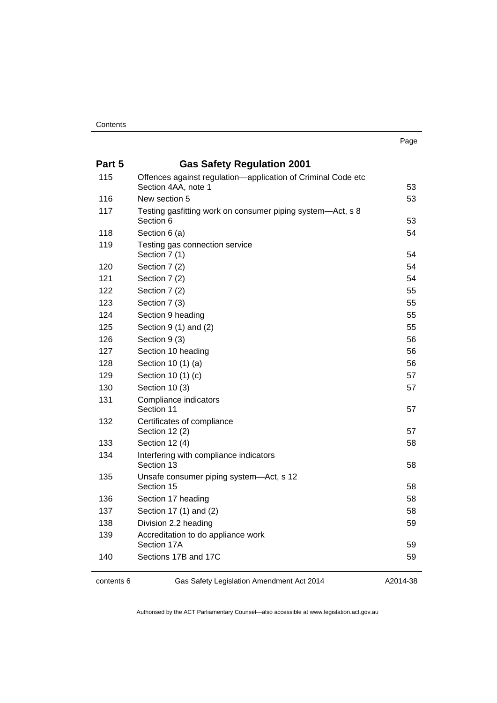| Part 5 | <b>Gas Safety Regulation 2001</b>                                                   |    |
|--------|-------------------------------------------------------------------------------------|----|
| 115    | Offences against regulation-application of Criminal Code etc<br>Section 4AA, note 1 | 53 |
| 116    | New section 5                                                                       | 53 |
| 117    | Testing gasfitting work on consumer piping system—Act, s 8<br>Section 6             | 53 |
| 118    | Section 6 (a)                                                                       | 54 |
| 119    | Testing gas connection service<br>Section 7 (1)                                     | 54 |
| 120    | Section 7 (2)                                                                       | 54 |
| 121    | Section 7 (2)                                                                       | 54 |
| 122    | Section 7 (2)                                                                       | 55 |
| 123    | Section 7 (3)                                                                       | 55 |
| 124    | Section 9 heading                                                                   | 55 |
| 125    | Section $9(1)$ and $(2)$                                                            | 55 |
| 126    | Section 9 (3)                                                                       | 56 |
| 127    | Section 10 heading                                                                  | 56 |
| 128    | Section 10 (1) (a)                                                                  | 56 |
| 129    | Section 10 (1) (c)                                                                  | 57 |
| 130    | Section 10 (3)                                                                      | 57 |
| 131    | Compliance indicators<br>Section 11                                                 | 57 |
| 132    | Certificates of compliance<br>Section 12 (2)                                        | 57 |
| 133    | Section 12 (4)                                                                      | 58 |
| 134    | Interfering with compliance indicators<br>Section 13                                | 58 |
| 135    | Unsafe consumer piping system-Act, s 12<br>Section 15                               | 58 |
| 136    | Section 17 heading                                                                  | 58 |
| 137    | Section 17 (1) and (2)                                                              | 58 |
| 138    | Division 2.2 heading                                                                | 59 |
| 139    | Accreditation to do appliance work<br>Section 17A                                   | 59 |
| 140    | Sections 17B and 17C                                                                | 59 |

contents 6 Gas Safety Legislation Amendment Act 2014

A2014-38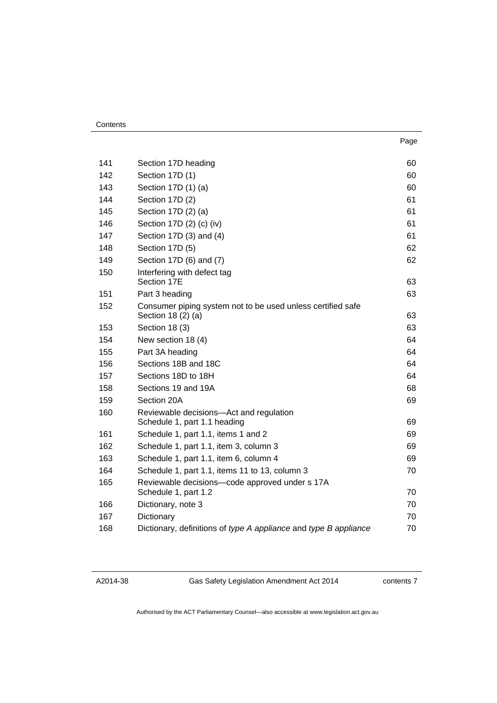#### **Contents**

| 141 | Section 17D heading                                                               | 60 |
|-----|-----------------------------------------------------------------------------------|----|
| 142 | Section 17D (1)                                                                   | 60 |
| 143 | Section 17D (1) (a)                                                               | 60 |
| 144 | Section 17D (2)                                                                   | 61 |
| 145 | Section 17D (2) (a)                                                               | 61 |
| 146 | Section 17D (2) (c) (iv)                                                          | 61 |
| 147 | Section 17D (3) and (4)                                                           | 61 |
| 148 | Section 17D (5)                                                                   | 62 |
| 149 | Section 17D (6) and (7)                                                           | 62 |
| 150 | Interfering with defect tag<br>Section 17E                                        | 63 |
| 151 | Part 3 heading                                                                    | 63 |
| 152 | Consumer piping system not to be used unless certified safe<br>Section 18 (2) (a) | 63 |
| 153 | Section 18 (3)                                                                    | 63 |
| 154 | New section 18 (4)                                                                | 64 |
| 155 | Part 3A heading                                                                   | 64 |
| 156 | Sections 18B and 18C                                                              | 64 |
| 157 | Sections 18D to 18H                                                               | 64 |
| 158 | Sections 19 and 19A                                                               | 68 |
| 159 | Section 20A                                                                       | 69 |
| 160 | Reviewable decisions-Act and regulation<br>Schedule 1, part 1.1 heading           | 69 |
| 161 | Schedule 1, part 1.1, items 1 and 2                                               | 69 |
| 162 | Schedule 1, part 1.1, item 3, column 3                                            | 69 |
| 163 | Schedule 1, part 1.1, item 6, column 4                                            | 69 |
| 164 | Schedule 1, part 1.1, items 11 to 13, column 3                                    | 70 |
| 165 | Reviewable decisions-code approved under s 17A                                    |    |
|     | Schedule 1, part 1.2                                                              | 70 |
| 166 | Dictionary, note 3                                                                | 70 |
| 167 | Dictionary                                                                        | 70 |
| 168 | Dictionary, definitions of type A appliance and type B appliance                  | 70 |
|     |                                                                                   |    |

A2014-38

Gas Safety Legislation Amendment Act 2014

contents 7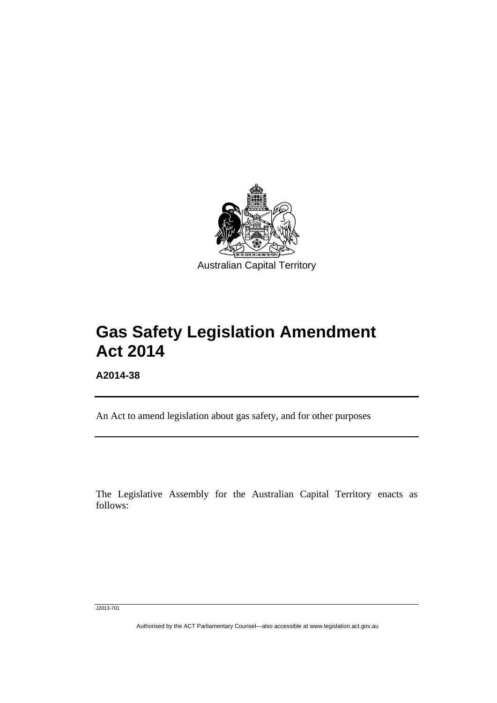

# **Gas Safety Legislation Amendment Act 2014**

**A2014-38** 

l

An Act to amend legislation about gas safety, and for other purposes

The Legislative Assembly for the Australian Capital Territory enacts as follows:

J2013-701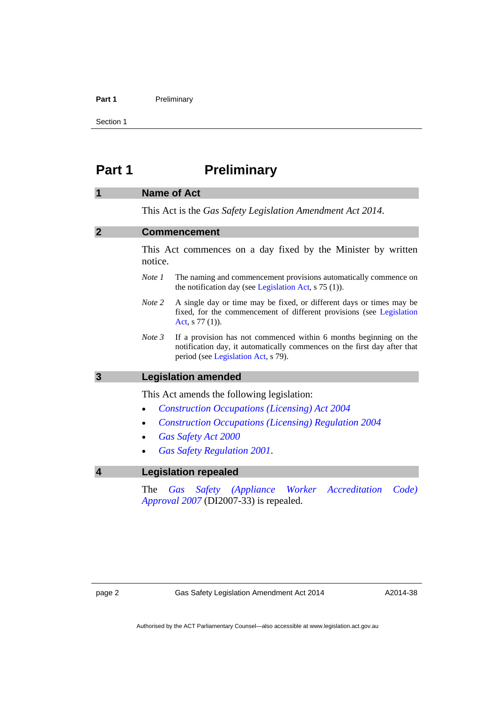#### Part 1 **Preliminary**

Section 1

### <span id="page-9-0"></span>**Part 1** Preliminary

#### <span id="page-9-1"></span>**1 Name of Act**

This Act is the *Gas Safety Legislation Amendment Act 2014*.

#### <span id="page-9-2"></span>**2 Commencement**

This Act commences on a day fixed by the Minister by written notice.

- *Note 1* The naming and commencement provisions automatically commence on the notification day (see [Legislation Act,](http://www.legislation.act.gov.au/a/2001-14) s 75 (1)).
- *Note 2* A single day or time may be fixed, or different days or times may be fixed, for the commencement of different provisions (see [Legislation](http://www.legislation.act.gov.au/a/2001-14)  [Act](http://www.legislation.act.gov.au/a/2001-14), s 77 (1)).
- *Note 3* If a provision has not commenced within 6 months beginning on the notification day, it automatically commences on the first day after that period (see [Legislation Act,](http://www.legislation.act.gov.au/a/2001-14) s 79).

#### <span id="page-9-3"></span>**3 Legislation amended**

This Act amends the following legislation:

- *[Construction Occupations \(Licensing\) Act 2004](http://www.legislation.act.gov.au/a/2004-12)*
- *[Construction Occupations \(Licensing\) Regulation 2004](http://www.legislation.act.gov.au/sl/2004-36)*
- *[Gas Safety Act 2000](http://www.legislation.act.gov.au/a/2000-67)*
- *[Gas Safety Regulation 2001](http://www.legislation.act.gov.au/sl/2001-18)*.

#### <span id="page-9-4"></span>**4 Legislation repealed**

The *[Gas Safety \(Appliance Worker Accreditation Code\)](http://www.legislation.act.gov.au/di/2007-33/default.asp)  [Approval 2007](http://www.legislation.act.gov.au/di/2007-33/default.asp)* (DI2007-33) is repealed.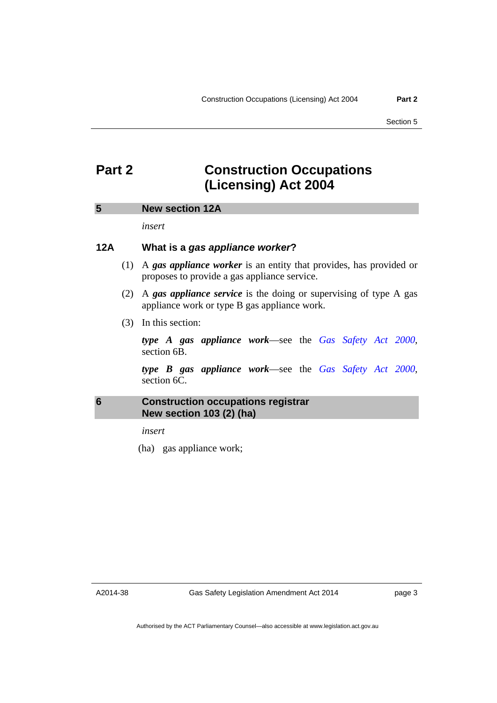### <span id="page-10-0"></span>**Part 2 Construction Occupations (Licensing) Act 2004**

#### <span id="page-10-1"></span>**5 New section 12A**

*insert* 

#### **12A What is a** *gas appliance worker***?**

- (1) A *gas appliance worker* is an entity that provides, has provided or proposes to provide a gas appliance service.
- (2) A *gas appliance service* is the doing or supervising of type A gas appliance work or type B gas appliance work.
- (3) In this section:

*type A gas appliance work*—see the *[Gas Safety Act 2000](http://www.legislation.act.gov.au/a/2000-67)*, section 6B.

*type B gas appliance work*—see the *[Gas Safety Act 2000](http://www.legislation.act.gov.au/a/2000-67)*, section 6C.

#### <span id="page-10-2"></span>**6 Construction occupations registrar New section 103 (2) (ha)**

*insert* 

(ha) gas appliance work;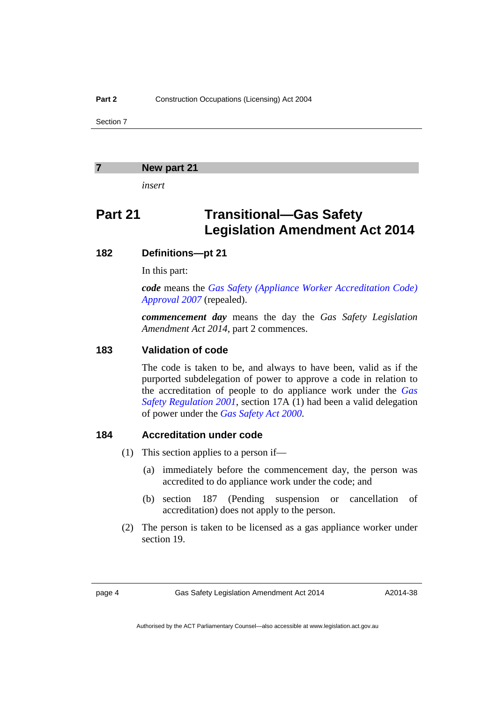#### <span id="page-11-0"></span>**7 New part 21**

*insert* 

### **Part 21 Transitional—Gas Safety Legislation Amendment Act 2014**

#### **182 Definitions—pt 21**

In this part:

*code* means the *[Gas Safety \(Appliance Worker Accreditation Code\)](http://www.legislation.act.gov.au/di/2007-33/default.asp)  [Approval 2007](http://www.legislation.act.gov.au/di/2007-33/default.asp)* (repealed).

*commencement day* means the day the *Gas Safety Legislation Amendment Act 2014*, part 2 commences.

#### **183 Validation of code**

 The code is taken to be, and always to have been, valid as if the purported subdelegation of power to approve a code in relation to the accreditation of people to do appliance work under the *[Gas](http://www.legislation.act.gov.au/sl/2001-18)  [Safety Regulation 2001](http://www.legislation.act.gov.au/sl/2001-18)*, section 17A (1) had been a valid delegation of power under the *[Gas Safety Act 2000](http://www.legislation.act.gov.au/a/2000-67)*.

#### **184 Accreditation under code**

- (1) This section applies to a person if—
	- (a) immediately before the commencement day, the person was accredited to do appliance work under the code; and
	- (b) section 187 (Pending suspension or cancellation of accreditation) does not apply to the person.
- (2) The person is taken to be licensed as a gas appliance worker under section 19.

page 4 Gas Safety Legislation Amendment Act 2014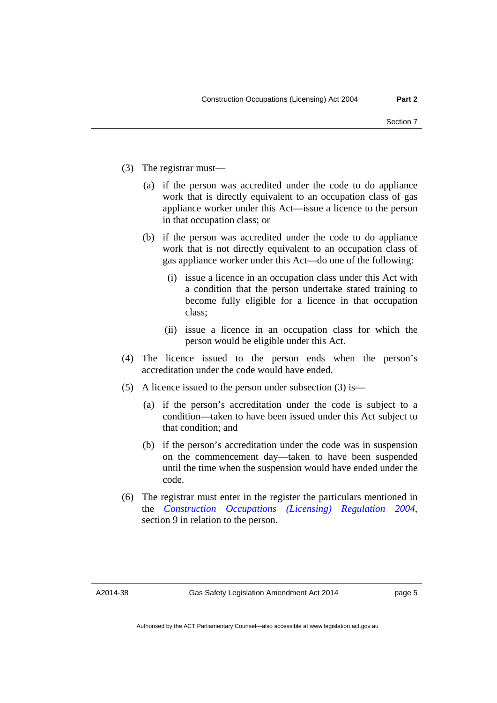- (3) The registrar must—
	- (a) if the person was accredited under the code to do appliance work that is directly equivalent to an occupation class of gas appliance worker under this Act—issue a licence to the person in that occupation class; or
	- (b) if the person was accredited under the code to do appliance work that is not directly equivalent to an occupation class of gas appliance worker under this Act—do one of the following:
		- (i) issue a licence in an occupation class under this Act with a condition that the person undertake stated training to become fully eligible for a licence in that occupation class;
		- (ii) issue a licence in an occupation class for which the person would be eligible under this Act.
- (4) The licence issued to the person ends when the person's accreditation under the code would have ended.
- (5) A licence issued to the person under subsection (3) is—
	- (a) if the person's accreditation under the code is subject to a condition—taken to have been issued under this Act subject to that condition; and
	- (b) if the person's accreditation under the code was in suspension on the commencement day—taken to have been suspended until the time when the suspension would have ended under the code.
- (6) The registrar must enter in the register the particulars mentioned in the *[Construction Occupations \(Licensing\) Regulation 2004](http://www.legislation.act.gov.au/sl/2004-36)*, section 9 in relation to the person.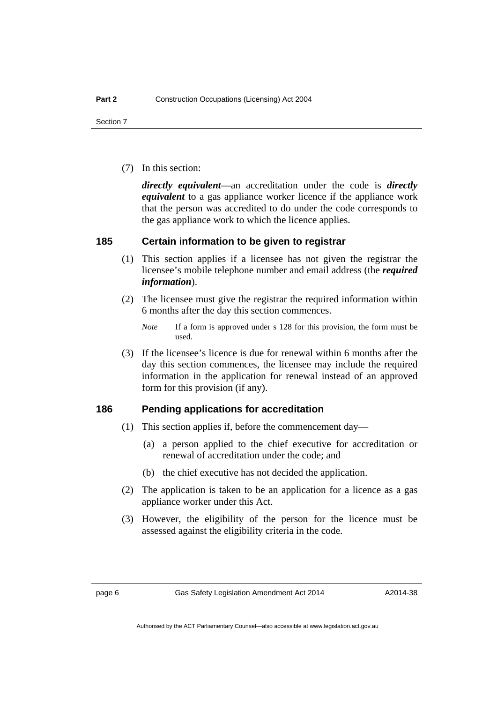(7) In this section:

*directly equivalent*—an accreditation under the code is *directly equivalent* to a gas appliance worker licence if the appliance work that the person was accredited to do under the code corresponds to the gas appliance work to which the licence applies.

#### **185 Certain information to be given to registrar**

- (1) This section applies if a licensee has not given the registrar the licensee's mobile telephone number and email address (the *required information*).
- (2) The licensee must give the registrar the required information within 6 months after the day this section commences.
	- *Note* If a form is approved under s 128 for this provision, the form must be used.
- (3) If the licensee's licence is due for renewal within 6 months after the day this section commences, the licensee may include the required information in the application for renewal instead of an approved form for this provision (if any).

#### **186 Pending applications for accreditation**

- (1) This section applies if, before the commencement day—
	- (a) a person applied to the chief executive for accreditation or renewal of accreditation under the code; and
	- (b) the chief executive has not decided the application.
- (2) The application is taken to be an application for a licence as a gas appliance worker under this Act.
- (3) However, the eligibility of the person for the licence must be assessed against the eligibility criteria in the code.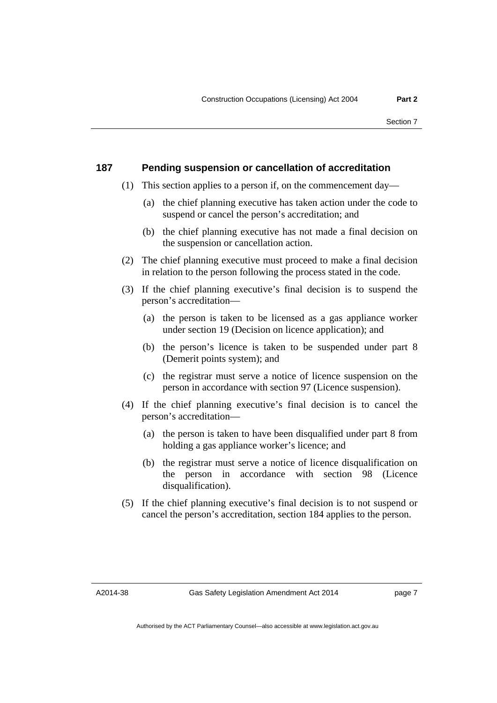#### **187 Pending suspension or cancellation of accreditation**

- (1) This section applies to a person if, on the commencement day—
	- (a) the chief planning executive has taken action under the code to suspend or cancel the person's accreditation; and
	- (b) the chief planning executive has not made a final decision on the suspension or cancellation action.
- (2) The chief planning executive must proceed to make a final decision in relation to the person following the process stated in the code.
- (3) If the chief planning executive's final decision is to suspend the person's accreditation—
	- (a) the person is taken to be licensed as a gas appliance worker under section 19 (Decision on licence application); and
	- (b) the person's licence is taken to be suspended under part 8 (Demerit points system); and
	- (c) the registrar must serve a notice of licence suspension on the person in accordance with section 97 (Licence suspension).
- (4) If the chief planning executive's final decision is to cancel the person's accreditation—
	- (a) the person is taken to have been disqualified under part 8 from holding a gas appliance worker's licence; and
	- (b) the registrar must serve a notice of licence disqualification on the person in accordance with section 98 (Licence disqualification).
- (5) If the chief planning executive's final decision is to not suspend or cancel the person's accreditation, section 184 applies to the person.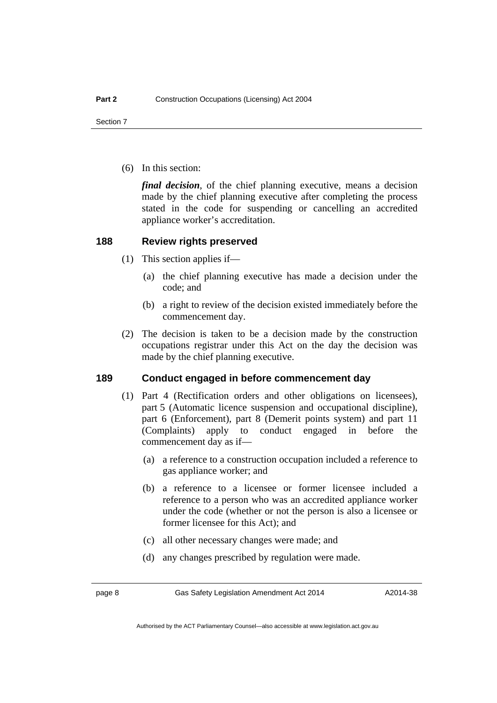(6) In this section:

*final decision*, of the chief planning executive, means a decision made by the chief planning executive after completing the process stated in the code for suspending or cancelling an accredited appliance worker's accreditation.

#### **188 Review rights preserved**

- (1) This section applies if—
	- (a) the chief planning executive has made a decision under the code; and
	- (b) a right to review of the decision existed immediately before the commencement day.
- (2) The decision is taken to be a decision made by the construction occupations registrar under this Act on the day the decision was made by the chief planning executive.

#### **189 Conduct engaged in before commencement day**

- (1) Part 4 (Rectification orders and other obligations on licensees), part 5 (Automatic licence suspension and occupational discipline), part 6 (Enforcement), part 8 (Demerit points system) and part 11 (Complaints) apply to conduct engaged in before the commencement day as if—
	- (a) a reference to a construction occupation included a reference to gas appliance worker; and
	- (b) a reference to a licensee or former licensee included a reference to a person who was an accredited appliance worker under the code (whether or not the person is also a licensee or former licensee for this Act); and
	- (c) all other necessary changes were made; and
	- (d) any changes prescribed by regulation were made.

page 8 Gas Safety Legislation Amendment Act 2014

Authorised by the ACT Parliamentary Counsel—also accessible at www.legislation.act.gov.au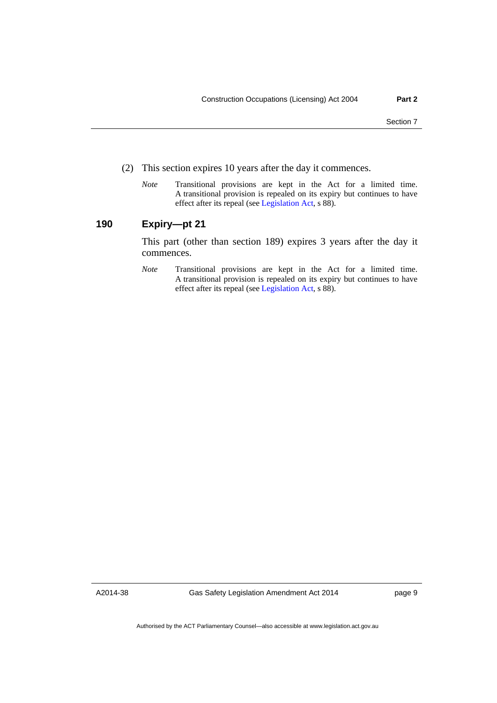- (2) This section expires 10 years after the day it commences.
	- *Note* Transitional provisions are kept in the Act for a limited time. A transitional provision is repealed on its expiry but continues to have effect after its repeal (see [Legislation Act,](http://www.legislation.act.gov.au/a/2001-14) s 88).

#### **190 Expiry—pt 21**

This part (other than section 189) expires 3 years after the day it commences.

*Note* Transitional provisions are kept in the Act for a limited time. A transitional provision is repealed on its expiry but continues to have effect after its repeal (see [Legislation Act,](http://www.legislation.act.gov.au/a/2001-14) s 88).

A2014-38

Gas Safety Legislation Amendment Act 2014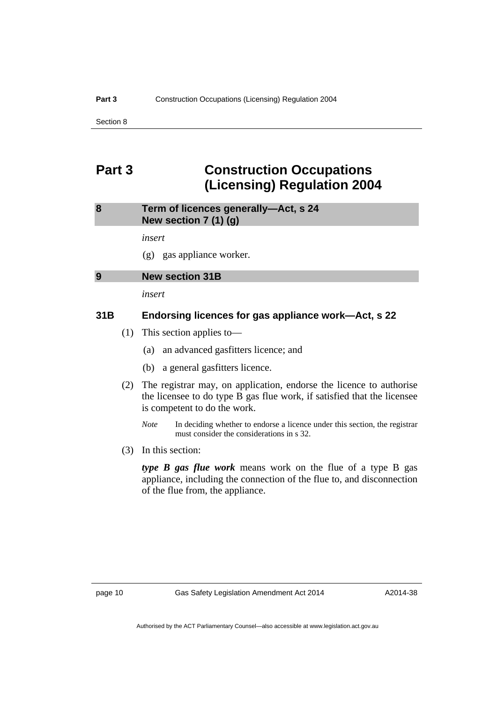### <span id="page-17-0"></span>**Part 3 Construction Occupations (Licensing) Regulation 2004**

#### <span id="page-17-1"></span>**8 Term of licences generally—Act, s 24 New section 7 (1) (g)**

31B

*insert* 

(g) gas appliance worker.

<span id="page-17-2"></span>

| 9 | <b>New section</b> |
|---|--------------------|
|   |                    |

*insert* 

#### **31B Endorsing licences for gas appliance work—Act, s 22**

- (1) This section applies to—
	- (a) an advanced gasfitters licence; and
	- (b) a general gasfitters licence.
- (2) The registrar may, on application, endorse the licence to authorise the licensee to do type B gas flue work, if satisfied that the licensee is competent to do the work.
	- *Note* In deciding whether to endorse a licence under this section, the registrar must consider the considerations in s 32.
- (3) In this section:

*type B gas flue work* means work on the flue of a type B gas appliance, including the connection of the flue to, and disconnection of the flue from, the appliance.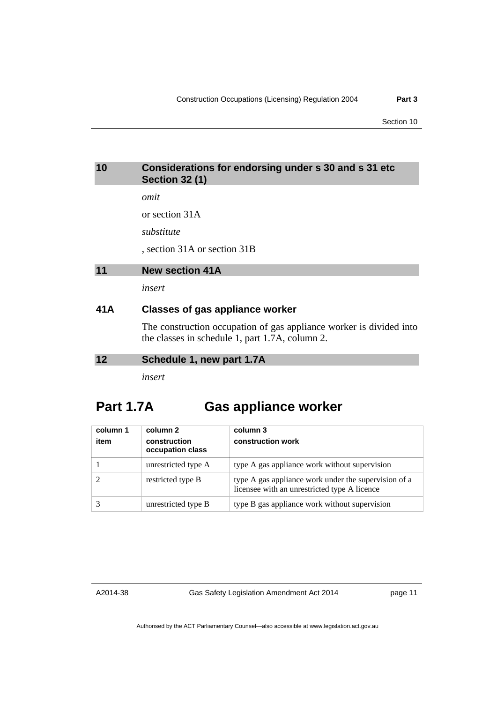#### <span id="page-18-0"></span>**10 Considerations for endorsing under s 30 and s 31 etc Section 32 (1)**

*omit* 

or section 31A

*substitute* 

, section 31A or section 31B

```
11 New section 41A
```
*insert* 

#### **41A Classes of gas appliance worker**

The construction occupation of gas appliance worker is divided into the classes in schedule 1, part 1.7A, column 2.

#### <span id="page-18-2"></span>**12 Schedule 1, new part 1.7A**

*insert* 

### **Part 1.7A Gas appliance worker**

| column 1<br>item | column 2<br>construction<br>occupation class | column 3<br>construction work                                                                        |
|------------------|----------------------------------------------|------------------------------------------------------------------------------------------------------|
|                  | unrestricted type A                          | type A gas appliance work without supervision                                                        |
|                  | restricted type B                            | type A gas appliance work under the supervision of a<br>licensee with an unrestricted type A licence |
|                  | unrestricted type B                          | type B gas appliance work without supervision                                                        |

A2014-38

Gas Safety Legislation Amendment Act 2014

page 11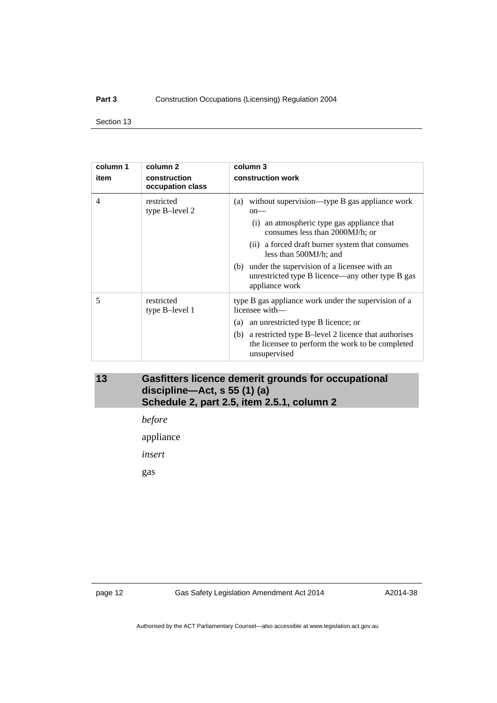#### Part 3 **Construction Occupations (Licensing) Regulation 2004**

Section 13

| column 1<br>item | column 2<br>construction<br>occupation class | column 3<br>construction work                                                                                                                                                                                                                                                                                                                      |
|------------------|----------------------------------------------|----------------------------------------------------------------------------------------------------------------------------------------------------------------------------------------------------------------------------------------------------------------------------------------------------------------------------------------------------|
| 4                | restricted<br>type B-level 2                 | (a) without supervision—type B gas appliance work<br>$on$ —<br>(i) an atmospheric type gas appliance that<br>consumes less than 2000MJ/h; or<br>(ii) a forced draft burner system that consumes<br>less than 500MJ/h; and<br>(b) under the supervision of a licensee with an<br>unrestricted type B licence—any other type B gas<br>appliance work |
| 5                | restricted<br>type B-level 1                 | type B gas appliance work under the supervision of a<br>licensee with—<br>an unrestricted type B licence; or<br>(a)<br>(b) a restricted type B-level 2 licence that authorises<br>the licensee to perform the work to be completed<br>unsupervised                                                                                                 |

#### <span id="page-19-0"></span>**13 Gasfitters licence demerit grounds for occupational discipline—Act, s 55 (1) (a) Schedule 2, part 2.5, item 2.5.1, column 2**

*before* 

appliance

*insert* 

gas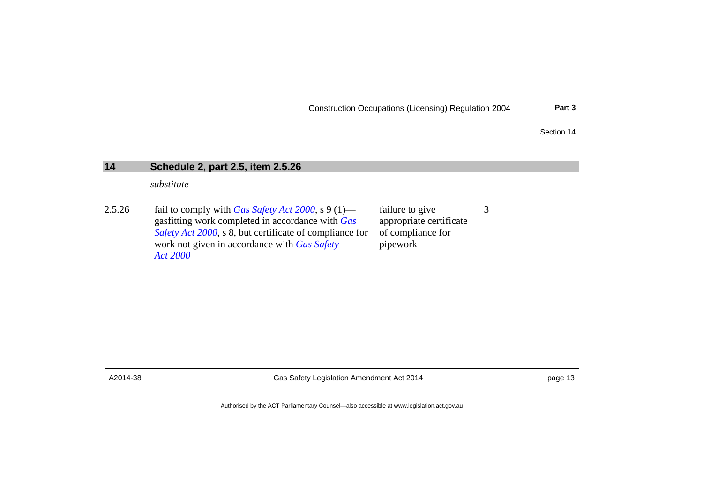Construction Occupations (Licensing) Regulation 2004 **Part 3**

3

Section 14

#### **14 Schedule 2, part 2.5, item 2.5.26**

*substitute* 

2.5.26 fail to comply with *[Gas Safety Act 2000](http://www.legislation.act.gov.au/a/2000-67)*, s 9 (1) gasfitting work completed in accordance with *[Gas](http://www.legislation.act.gov.au/a/2000-67)  [Safety Act 2000](http://www.legislation.act.gov.au/a/2000-67)*, s 8, but certificate of compliance for work not given in accordance with *[Gas Safety](http://www.legislation.act.gov.au/a/2000-67)  [Act 2000](http://www.legislation.act.gov.au/a/2000-67)*failure to give appropriate certificate of compliance for pipework

<span id="page-20-0"></span>

A2014-38 Gas Safety Legislation Amendment Act 2014 page 13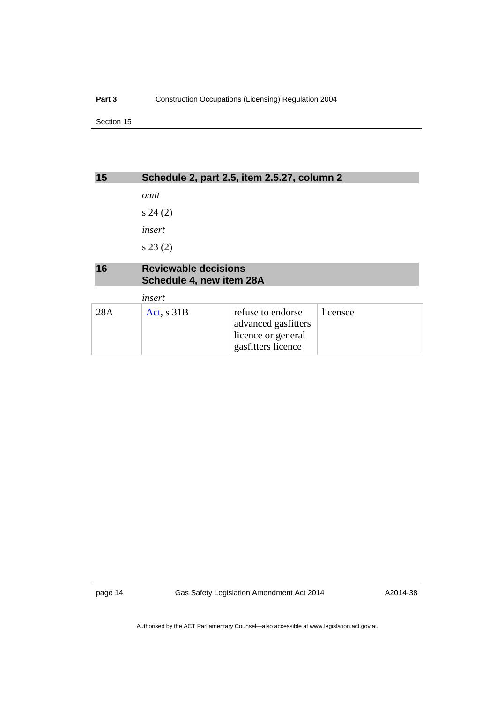<span id="page-21-1"></span><span id="page-21-0"></span>

| 15  |                                                         | Schedule 2, part 2.5, item 2.5.27, column 2 |          |
|-----|---------------------------------------------------------|---------------------------------------------|----------|
|     | omit                                                    |                                             |          |
|     | s 24(2)                                                 |                                             |          |
|     | insert                                                  |                                             |          |
|     | s 23(2)                                                 |                                             |          |
| 16  | <b>Reviewable decisions</b><br>Schedule 4, new item 28A |                                             |          |
|     | insert                                                  |                                             |          |
| 28A | Act, $s$ 31B                                            | refuse to endorse<br>advanced gasfitters    | licensee |

licence or general gasfitters licence

page 14 Gas Safety Legislation Amendment Act 2014

A2014-38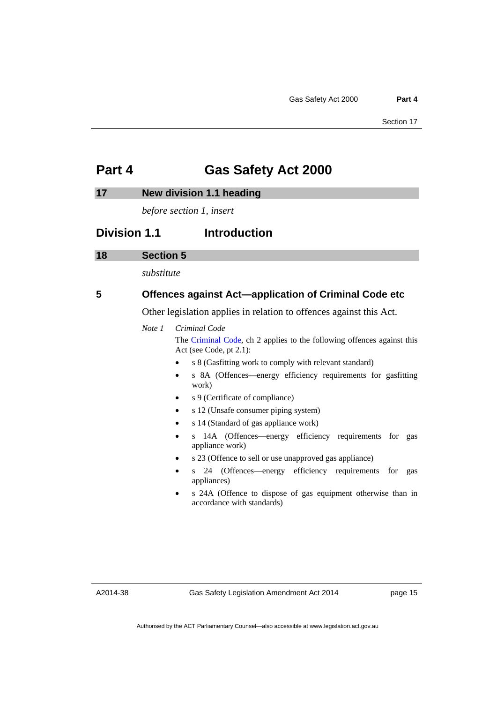### <span id="page-22-0"></span>**Part 4 Gas Safety Act 2000**

#### <span id="page-22-1"></span>**17 New division 1.1 heading**

*before section 1, insert* 

### **Division 1.1** Introduction

#### <span id="page-22-2"></span>**18 Section 5**

*substitute* 

#### **5 Offences against Act—application of Criminal Code etc**

Other legislation applies in relation to offences against this Act.

#### *Note 1 Criminal Code*

The [Criminal Code](http://www.legislation.act.gov.au/a/2002-51), ch 2 applies to the following offences against this Act (see Code, pt 2.1):

- s 8 (Gasfitting work to comply with relevant standard)
- s 8A (Offences—energy efficiency requirements for gasfitting work)
- s 9 (Certificate of compliance)
- s 12 (Unsafe consumer piping system)
- s 14 (Standard of gas appliance work)
- s 14A (Offences—energy efficiency requirements for gas appliance work)
- s 23 (Offence to sell or use unapproved gas appliance)
- s 24 (Offences—energy efficiency requirements for gas appliances)
- s 24A (Offence to dispose of gas equipment otherwise than in accordance with standards)

A2014-38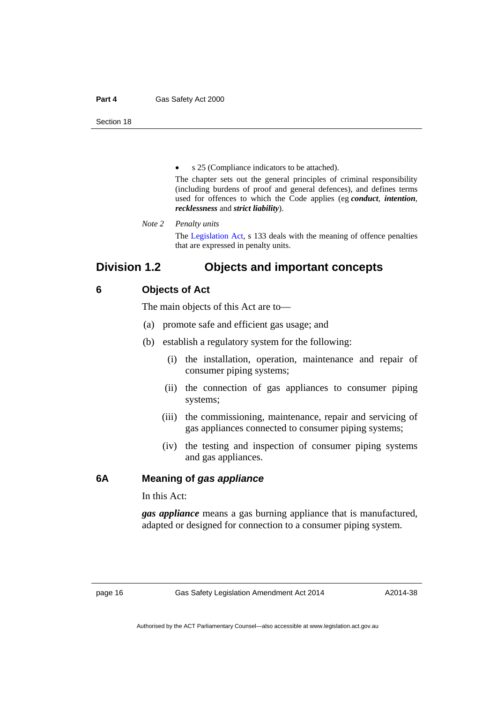#### **Part 4 Gas Safety Act 2000**

Section 18

s 25 (Compliance indicators to be attached).

The chapter sets out the general principles of criminal responsibility (including burdens of proof and general defences), and defines terms used for offences to which the Code applies (eg *conduct*, *intention*, *recklessness* and *strict liability*).

*Note 2 Penalty units*  The [Legislation Act,](http://www.legislation.act.gov.au/a/2001-14) s 133 deals with the meaning of offence penalties that are expressed in penalty units.

### **Division 1.2 Objects and important concepts**

#### **6 Objects of Act**

The main objects of this Act are to—

- (a) promote safe and efficient gas usage; and
- (b) establish a regulatory system for the following:
	- (i) the installation, operation, maintenance and repair of consumer piping systems;
	- (ii) the connection of gas appliances to consumer piping systems;
	- (iii) the commissioning, maintenance, repair and servicing of gas appliances connected to consumer piping systems;
	- (iv) the testing and inspection of consumer piping systems and gas appliances.

#### **6A Meaning of** *gas appliance*

In this Act:

*gas appliance* means a gas burning appliance that is manufactured, adapted or designed for connection to a consumer piping system.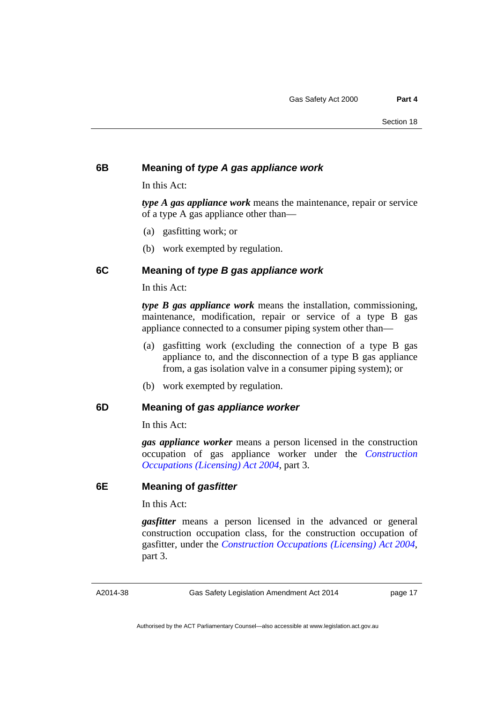#### **6B Meaning of** *type A gas appliance work*

In this Act:

*type A gas appliance work* means the maintenance, repair or service of a type A gas appliance other than—

- (a) gasfitting work; or
- (b) work exempted by regulation.

#### **6C Meaning of** *type B gas appliance work*

In this Act:

*type B gas appliance work* means the installation, commissioning, maintenance, modification, repair or service of a type B gas appliance connected to a consumer piping system other than—

- (a) gasfitting work (excluding the connection of a type B gas appliance to, and the disconnection of a type B gas appliance from, a gas isolation valve in a consumer piping system); or
- (b) work exempted by regulation.

#### **6D Meaning of** *gas appliance worker*

In this Act:

*gas appliance worker* means a person licensed in the construction occupation of gas appliance worker under the *[Construction](http://www.legislation.act.gov.au/a/2004-12)  [Occupations \(Licensing\) Act 2004](http://www.legislation.act.gov.au/a/2004-12)*, part 3.

#### **6E Meaning of** *gasfitter*

In this Act:

*gasfitter* means a person licensed in the advanced or general construction occupation class, for the construction occupation of gasfitter, under the *[Construction Occupations \(Licensing\) Act 2004](http://www.legislation.act.gov.au/a/2004-12)*, part 3.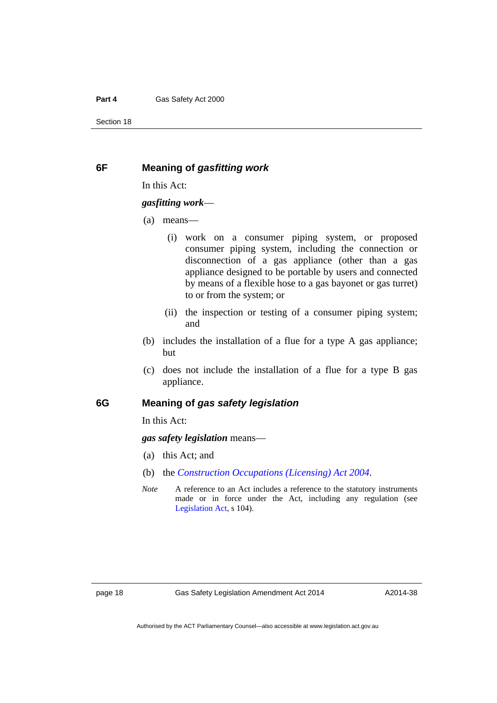#### **Part 4 Gas Safety Act 2000**

Section 18

#### **6F Meaning of** *gasfitting work*

In this Act:

#### *gasfitting work*—

- (a) means—
	- (i) work on a consumer piping system, or proposed consumer piping system, including the connection or disconnection of a gas appliance (other than a gas appliance designed to be portable by users and connected by means of a flexible hose to a gas bayonet or gas turret) to or from the system; or
	- (ii) the inspection or testing of a consumer piping system; and
- (b) includes the installation of a flue for a type A gas appliance; but
- (c) does not include the installation of a flue for a type B gas appliance.

#### **6G Meaning of** *gas safety legislation*

In this Act:

*gas safety legislation* means—

- (a) this Act; and
- (b) the *[Construction Occupations \(Licensing\) Act 2004](http://www.legislation.act.gov.au/a/2004-12)*.
- *Note* A reference to an Act includes a reference to the statutory instruments made or in force under the Act, including any regulation (see [Legislation Act,](http://www.legislation.act.gov.au/a/2001-14) s 104).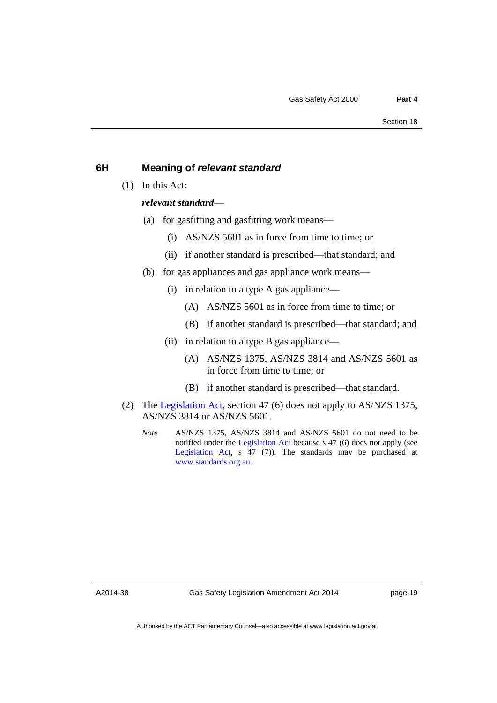#### **6H Meaning of** *relevant standard*

(1) In this Act:

#### *relevant standard*—

- (a) for gasfitting and gasfitting work means—
	- (i) AS/NZS 5601 as in force from time to time; or
	- (ii) if another standard is prescribed—that standard; and
- (b) for gas appliances and gas appliance work means—
	- (i) in relation to a type A gas appliance—
		- (A) AS/NZS 5601 as in force from time to time; or
		- (B) if another standard is prescribed—that standard; and
	- (ii) in relation to a type B gas appliance—
		- (A) AS/NZS 1375, AS/NZS 3814 and AS/NZS 5601 as in force from time to time; or
		- (B) if another standard is prescribed—that standard.
- (2) The [Legislation Act,](http://www.legislation.act.gov.au/a/2001-14) section 47 (6) does not apply to AS/NZS 1375, AS/NZS 3814 or AS/NZS 5601.
	- *Note* AS/NZS 1375, AS/NZS 3814 and AS/NZS 5601 do not need to be notified under the [Legislation Act](http://www.legislation.act.gov.au/a/2001-14) because s 47 (6) does not apply (see [Legislation Act](http://www.legislation.act.gov.au/a/2001-14), s 47 (7)). The standards may be purchased at [www.standards.org.au.](http://www.standards.org.au/)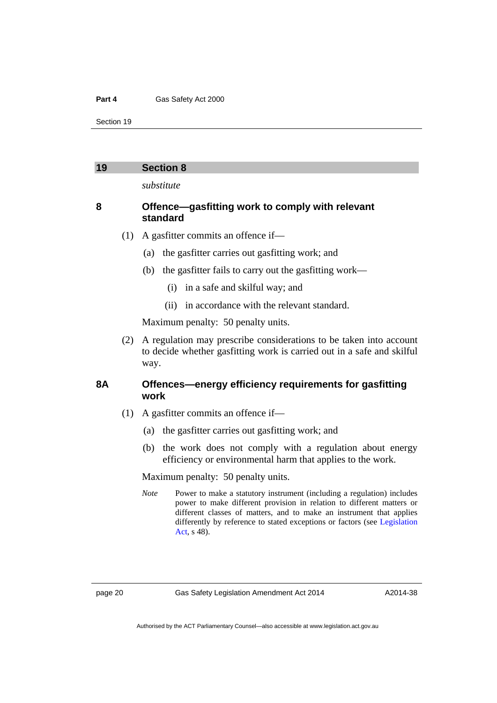#### **Part 4 Gas Safety Act 2000**

Section 19

#### <span id="page-27-0"></span>**19 Section 8**

*substitute* 

#### **8 Offence—gasfitting work to comply with relevant standard**

- (1) A gasfitter commits an offence if—
	- (a) the gasfitter carries out gasfitting work; and
	- (b) the gasfitter fails to carry out the gasfitting work—
		- (i) in a safe and skilful way; and
		- (ii) in accordance with the relevant standard.

Maximum penalty: 50 penalty units.

 (2) A regulation may prescribe considerations to be taken into account to decide whether gasfitting work is carried out in a safe and skilful way.

#### **8A Offences—energy efficiency requirements for gasfitting work**

- (1) A gasfitter commits an offence if—
	- (a) the gasfitter carries out gasfitting work; and
	- (b) the work does not comply with a regulation about energy efficiency or environmental harm that applies to the work.

Maximum penalty: 50 penalty units.

*Note* Power to make a statutory instrument (including a regulation) includes power to make different provision in relation to different matters or different classes of matters, and to make an instrument that applies differently by reference to stated exceptions or factors (see [Legislation](http://www.legislation.act.gov.au/a/2001-14)  [Act,](http://www.legislation.act.gov.au/a/2001-14) s 48).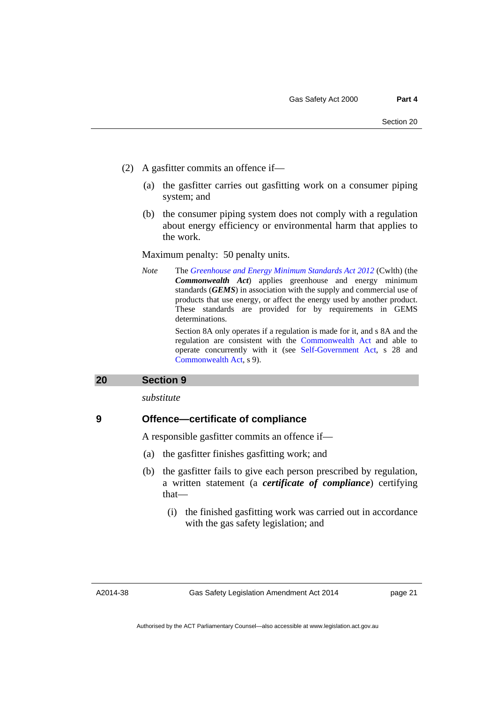- (2) A gasfitter commits an offence if—
	- (a) the gasfitter carries out gasfitting work on a consumer piping system; and
	- (b) the consumer piping system does not comply with a regulation about energy efficiency or environmental harm that applies to the work.

Maximum penalty: 50 penalty units.

*Note* The *[Greenhouse and Energy Minimum Standards Act 2012](http://www.comlaw.gov.au/Details/C2013C00195)* (Cwlth) (the *Commonwealth Act*) applies greenhouse and energy minimum standards (*GEMS*) in association with the supply and commercial use of products that use energy, or affect the energy used by another product. These standards are provided for by requirements in GEMS determinations.

> Section 8A only operates if a regulation is made for it, and s 8A and the regulation are consistent with the [Commonwealth Act](http://www.comlaw.gov.au/Details/C2013C00195) and able to operate concurrently with it (see [Self-Government Act,](http://www.comlaw.gov.au/Series/C2004A03699) s 28 and [Commonwealth Act,](http://www.comlaw.gov.au/Details/C2013C00195) s 9).

#### <span id="page-28-0"></span>**20 Section 9**

*substitute* 

#### **9 Offence—certificate of compliance**

A responsible gasfitter commits an offence if—

- (a) the gasfitter finishes gasfitting work; and
- (b) the gasfitter fails to give each person prescribed by regulation, a written statement (a *certificate of compliance*) certifying that—
	- (i) the finished gasfitting work was carried out in accordance with the gas safety legislation; and

A2014-38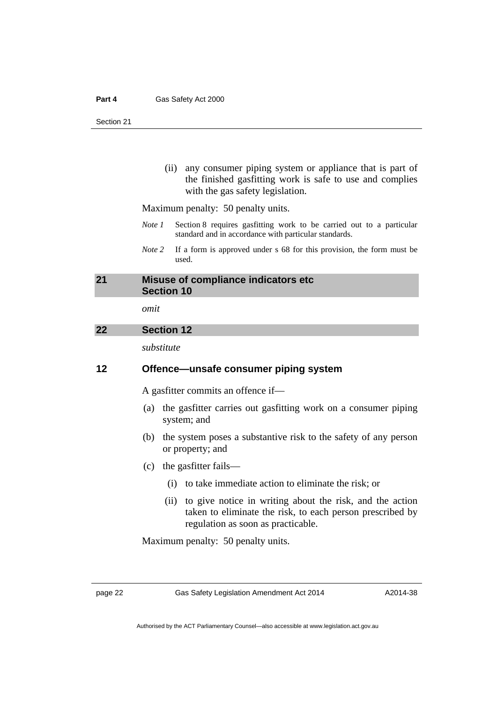(ii) any consumer piping system or appliance that is part of the finished gasfitting work is safe to use and complies with the gas safety legislation.

Maximum penalty: 50 penalty units.

- *Note 1* Section 8 requires gasfitting work to be carried out to a particular standard and in accordance with particular standards.
- *Note 2* If a form is approved under s 68 for this provision, the form must be used.

#### <span id="page-29-0"></span>**21 Misuse of compliance indicators etc Section 10**

*omit* 

#### <span id="page-29-1"></span>**22 Section 12**

*substitute* 

#### **12 Offence—unsafe consumer piping system**

A gasfitter commits an offence if—

- (a) the gasfitter carries out gasfitting work on a consumer piping system; and
- (b) the system poses a substantive risk to the safety of any person or property; and
- (c) the gasfitter fails—
	- (i) to take immediate action to eliminate the risk; or
	- (ii) to give notice in writing about the risk, and the action taken to eliminate the risk, to each person prescribed by regulation as soon as practicable.

Maximum penalty: 50 penalty units.

page 22 Gas Safety Legislation Amendment Act 2014

A2014-38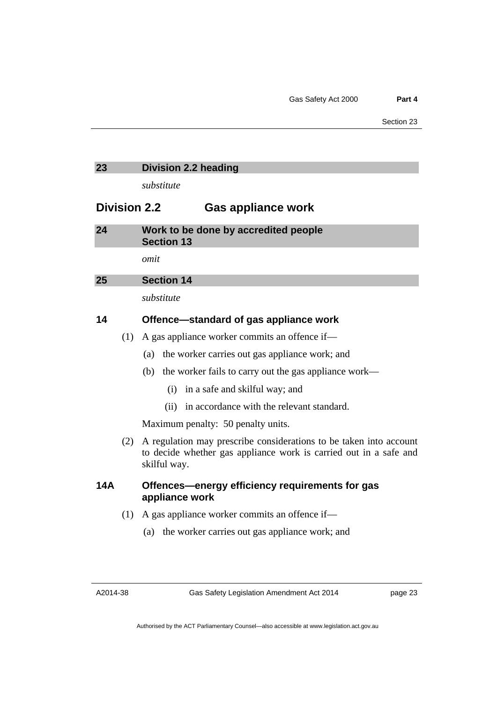#### <span id="page-30-0"></span>**23 Division 2.2 heading**

*substitute* 

#### **Division 2.2 Gas appliance work**

<span id="page-30-1"></span>

| 24 | Work to be done by accredited people |  |
|----|--------------------------------------|--|
|    | <b>Section 13</b>                    |  |
|    |                                      |  |

*omit* 

#### <span id="page-30-2"></span>**25 Section 14**

*substitute* 

#### **14 Offence—standard of gas appliance work**

- (1) A gas appliance worker commits an offence if—
	- (a) the worker carries out gas appliance work; and
	- (b) the worker fails to carry out the gas appliance work—
		- (i) in a safe and skilful way; and
		- (ii) in accordance with the relevant standard.

Maximum penalty: 50 penalty units.

 (2) A regulation may prescribe considerations to be taken into account to decide whether gas appliance work is carried out in a safe and skilful way.

#### **14A Offences—energy efficiency requirements for gas appliance work**

- (1) A gas appliance worker commits an offence if—
	- (a) the worker carries out gas appliance work; and

A2014-38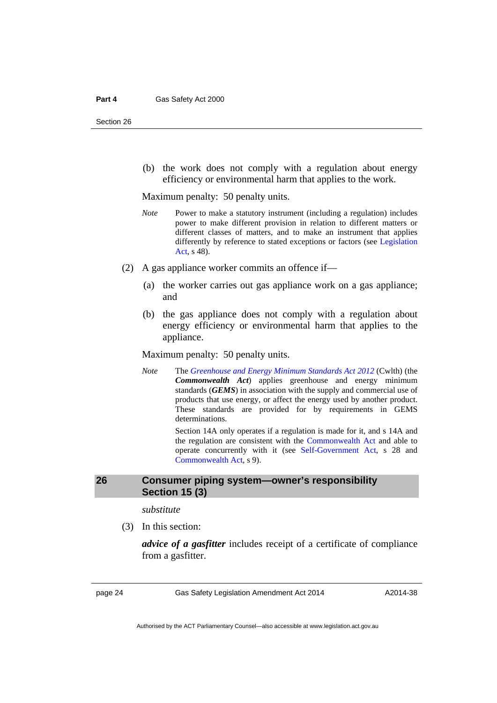(b) the work does not comply with a regulation about energy efficiency or environmental harm that applies to the work.

Maximum penalty: 50 penalty units.

- *Note* Power to make a statutory instrument (including a regulation) includes power to make different provision in relation to different matters or different classes of matters, and to make an instrument that applies differently by reference to stated exceptions or factors (see [Legislation](http://www.legislation.act.gov.au/a/2001-14)  [Act,](http://www.legislation.act.gov.au/a/2001-14) s 48).
- (2) A gas appliance worker commits an offence if—
	- (a) the worker carries out gas appliance work on a gas appliance; and
	- (b) the gas appliance does not comply with a regulation about energy efficiency or environmental harm that applies to the appliance.

Maximum penalty: 50 penalty units.

*Note* The *[Greenhouse and Energy Minimum Standards Act 2012](http://www.comlaw.gov.au/Details/C2013C00195)* (Cwlth) (the *Commonwealth Act*) applies greenhouse and energy minimum standards (*GEMS*) in association with the supply and commercial use of products that use energy, or affect the energy used by another product. These standards are provided for by requirements in GEMS determinations.

> Section 14A only operates if a regulation is made for it, and s 14A and the regulation are consistent with the [Commonwealth Act](http://www.comlaw.gov.au/Details/C2013C00195) and able to operate concurrently with it (see [Self-Government Act,](http://www.comlaw.gov.au/Series/C2004A03699) s 28 and [Commonwealth Act,](http://www.comlaw.gov.au/Details/C2013C00195) s 9).

#### <span id="page-31-0"></span>**26 Consumer piping system—owner's responsibility Section 15 (3)**

*substitute* 

(3) In this section:

*advice of a gasfitter* includes receipt of a certificate of compliance from a gasfitter.

page 24 Gas Safety Legislation Amendment Act 2014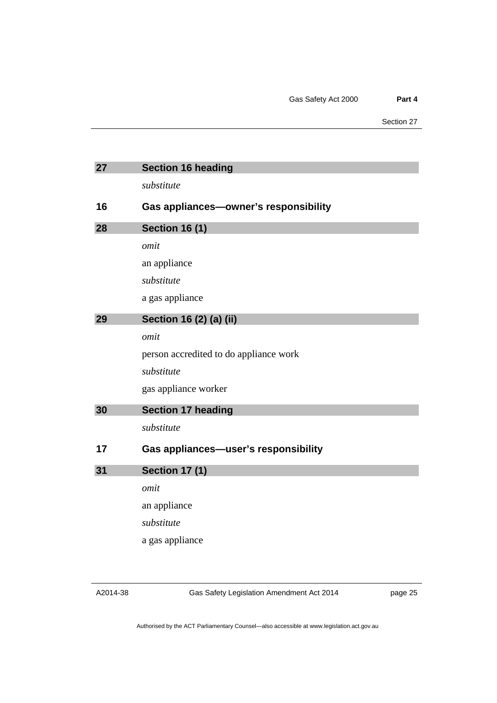<span id="page-32-2"></span><span id="page-32-1"></span><span id="page-32-0"></span>

| 27 | <b>Section 16 heading</b>              |
|----|----------------------------------------|
|    | substitute                             |
| 16 | Gas appliances-owner's responsibility  |
| 28 | <b>Section 16 (1)</b>                  |
|    | omit                                   |
|    | an appliance                           |
|    | substitute                             |
|    | a gas appliance                        |
| 29 | Section 16 (2) (a) (ii)                |
|    | omit                                   |
|    | person accredited to do appliance work |
|    | substitute                             |
|    | gas appliance worker                   |
| 30 | <b>Section 17 heading</b>              |
|    | substitute                             |
| 17 | Gas appliances-user's responsibility   |
| 31 | <b>Section 17 (1)</b>                  |
|    | omit                                   |
|    | an appliance                           |
|    | substitute                             |
|    | a gas appliance                        |

<span id="page-32-4"></span><span id="page-32-3"></span>Gas Safety Legislation Amendment Act 2014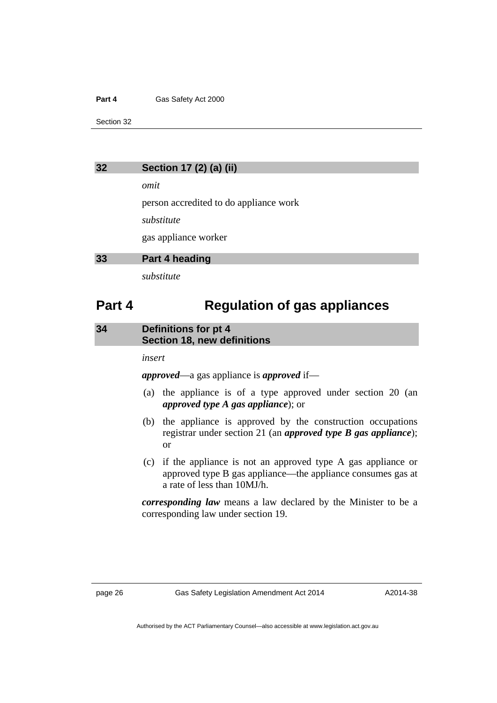#### **Part 4 Gas Safety Act 2000**

Section 32

<span id="page-33-0"></span>

| Section 17 (2) (a) (ii)<br>32 |
|-------------------------------|
|-------------------------------|

*omit* 

person accredited to do appliance work

*substitute* 

gas appliance worker

#### <span id="page-33-1"></span>**33 Part 4 heading**

*substitute* 

### **Part 4 Regulation of gas appliances**

#### <span id="page-33-2"></span>**34 Definitions for pt 4 Section 18, new definitions**

*insert* 

*approved*—a gas appliance is *approved* if—

- (a) the appliance is of a type approved under section 20 (an *approved type A gas appliance*); or
- (b) the appliance is approved by the construction occupations registrar under section 21 (an *approved type B gas appliance*); or
- (c) if the appliance is not an approved type A gas appliance or approved type B gas appliance—the appliance consumes gas at a rate of less than 10MJ/h.

*corresponding law* means a law declared by the Minister to be a corresponding law under section 19.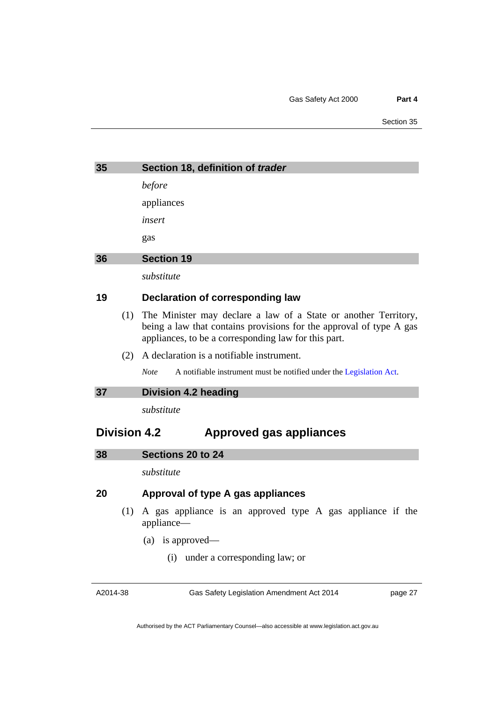<span id="page-34-1"></span><span id="page-34-0"></span>

| 35 |     | Section 18, definition of trader                                                                                                                                                               |
|----|-----|------------------------------------------------------------------------------------------------------------------------------------------------------------------------------------------------|
|    |     | before                                                                                                                                                                                         |
|    |     | appliances                                                                                                                                                                                     |
|    |     | insert                                                                                                                                                                                         |
|    |     | gas                                                                                                                                                                                            |
| 36 |     | <b>Section 19</b>                                                                                                                                                                              |
|    |     | substitute                                                                                                                                                                                     |
| 19 |     | Declaration of corresponding law                                                                                                                                                               |
|    | (1) | The Minister may declare a law of a State or another Territory,<br>being a law that contains provisions for the approval of type A gas<br>appliances, to be a corresponding law for this part. |
|    | (2) | A declaration is a notifiable instrument.                                                                                                                                                      |
|    |     | <b>Note</b><br>A notifiable instrument must be notified under the Legislation Act.                                                                                                             |
| 37 |     | <b>Division 4.2 heading</b>                                                                                                                                                                    |
|    |     | substitute                                                                                                                                                                                     |
|    |     | <b>Division 4.2</b><br><b>Approved gas appliances</b>                                                                                                                                          |
| 38 |     | Sections 20 to 24                                                                                                                                                                              |
|    |     | substitute                                                                                                                                                                                     |
| 20 |     | <b>Approval of type A gas appliances</b>                                                                                                                                                       |
|    | (1) | A gas appliance is an approved type A gas appliance if the<br>appliance—                                                                                                                       |
|    |     | (a) is approved—                                                                                                                                                                               |
|    |     | (i) under a corresponding law; or                                                                                                                                                              |

<span id="page-34-3"></span><span id="page-34-2"></span>A2014-38

Gas Safety Legislation Amendment Act 2014

page 27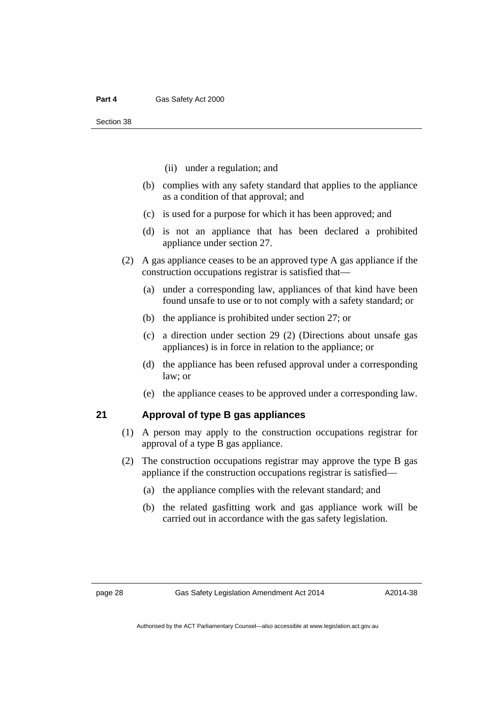- (ii) under a regulation; and
- (b) complies with any safety standard that applies to the appliance as a condition of that approval; and
- (c) is used for a purpose for which it has been approved; and
- (d) is not an appliance that has been declared a prohibited appliance under section 27.
- (2) A gas appliance ceases to be an approved type A gas appliance if the construction occupations registrar is satisfied that—
	- (a) under a corresponding law, appliances of that kind have been found unsafe to use or to not comply with a safety standard; or
	- (b) the appliance is prohibited under section 27; or
	- (c) a direction under section 29 (2) (Directions about unsafe gas appliances) is in force in relation to the appliance; or
	- (d) the appliance has been refused approval under a corresponding law; or
	- (e) the appliance ceases to be approved under a corresponding law.

#### **21 Approval of type B gas appliances**

- (1) A person may apply to the construction occupations registrar for approval of a type B gas appliance.
- (2) The construction occupations registrar may approve the type B gas appliance if the construction occupations registrar is satisfied—
	- (a) the appliance complies with the relevant standard; and
	- (b) the related gasfitting work and gas appliance work will be carried out in accordance with the gas safety legislation.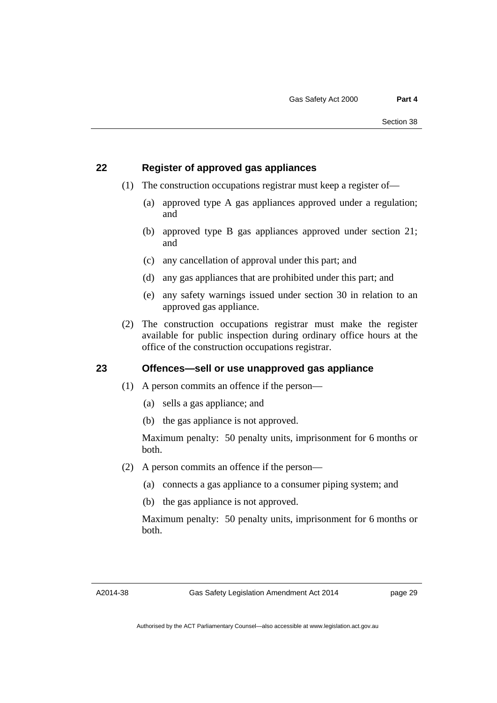## **22 Register of approved gas appliances**

- (1) The construction occupations registrar must keep a register of—
	- (a) approved type A gas appliances approved under a regulation; and
	- (b) approved type B gas appliances approved under section 21; and
	- (c) any cancellation of approval under this part; and
	- (d) any gas appliances that are prohibited under this part; and
	- (e) any safety warnings issued under section 30 in relation to an approved gas appliance.
- (2) The construction occupations registrar must make the register available for public inspection during ordinary office hours at the office of the construction occupations registrar.

## **23 Offences—sell or use unapproved gas appliance**

- (1) A person commits an offence if the person—
	- (a) sells a gas appliance; and
	- (b) the gas appliance is not approved.

Maximum penalty: 50 penalty units, imprisonment for 6 months or both.

- (2) A person commits an offence if the person—
	- (a) connects a gas appliance to a consumer piping system; and
	- (b) the gas appliance is not approved.

Maximum penalty: 50 penalty units, imprisonment for 6 months or both.

A2014-38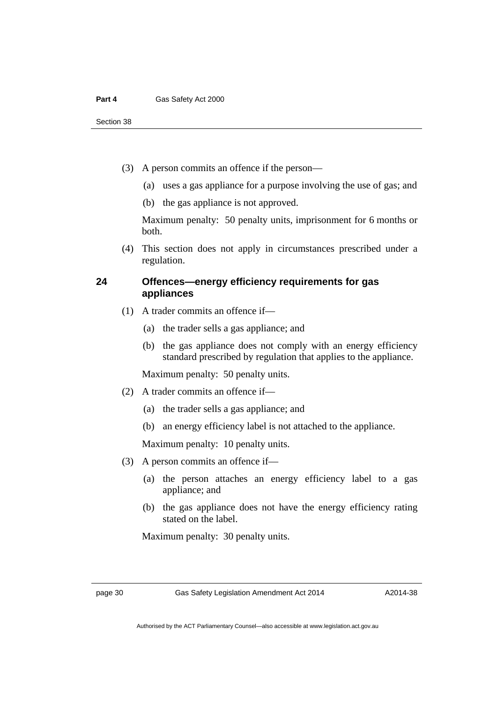- (3) A person commits an offence if the person—
	- (a) uses a gas appliance for a purpose involving the use of gas; and
	- (b) the gas appliance is not approved.

Maximum penalty: 50 penalty units, imprisonment for 6 months or both.

 (4) This section does not apply in circumstances prescribed under a regulation.

## **24 Offences—energy efficiency requirements for gas appliances**

- (1) A trader commits an offence if—
	- (a) the trader sells a gas appliance; and
	- (b) the gas appliance does not comply with an energy efficiency standard prescribed by regulation that applies to the appliance.

Maximum penalty: 50 penalty units.

- (2) A trader commits an offence if—
	- (a) the trader sells a gas appliance; and
	- (b) an energy efficiency label is not attached to the appliance.

Maximum penalty: 10 penalty units.

- (3) A person commits an offence if—
	- (a) the person attaches an energy efficiency label to a gas appliance; and
	- (b) the gas appliance does not have the energy efficiency rating stated on the label.

Maximum penalty: 30 penalty units.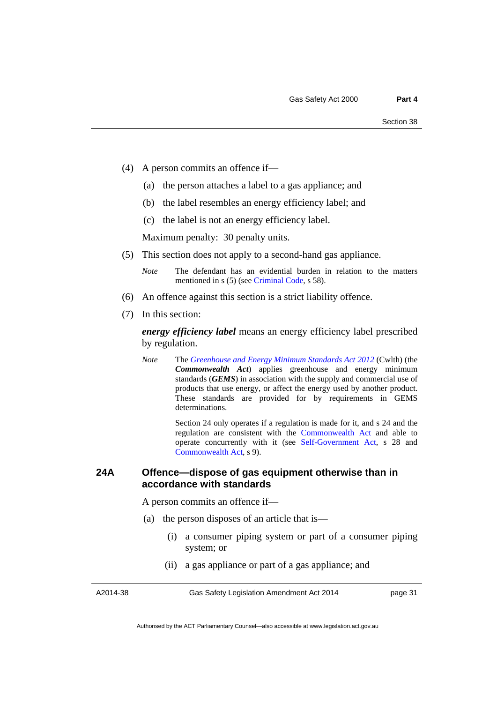- (4) A person commits an offence if—
	- (a) the person attaches a label to a gas appliance; and
	- (b) the label resembles an energy efficiency label; and
	- (c) the label is not an energy efficiency label.

Maximum penalty: 30 penalty units.

- (5) This section does not apply to a second-hand gas appliance.
	- *Note* The defendant has an evidential burden in relation to the matters mentioned in s (5) (see [Criminal Code](http://www.legislation.act.gov.au/a/2002-51), s 58).
- (6) An offence against this section is a strict liability offence.
- (7) In this section:

*energy efficiency label* means an energy efficiency label prescribed by regulation.

*Note* The *[Greenhouse and Energy Minimum Standards Act 2012](http://www.comlaw.gov.au/Details/C2013C00195)* (Cwlth) (the *Commonwealth Act*) applies greenhouse and energy minimum standards (*GEMS*) in association with the supply and commercial use of products that use energy, or affect the energy used by another product. These standards are provided for by requirements in GEMS determinations.

> Section 24 only operates if a regulation is made for it, and s 24 and the regulation are consistent with the [Commonwealth Act](http://www.comlaw.gov.au/Details/C2013C00195) and able to operate concurrently with it (see [Self-Government Act,](http://www.comlaw.gov.au/Series/C2004A03699) s 28 and [Commonwealth Act,](http://www.comlaw.gov.au/Details/C2013C00195) s 9).

## **24A Offence—dispose of gas equipment otherwise than in accordance with standards**

A person commits an offence if—

- (a) the person disposes of an article that is—
	- (i) a consumer piping system or part of a consumer piping system; or
	- (ii) a gas appliance or part of a gas appliance; and

A2014-38

Gas Safety Legislation Amendment Act 2014

page 31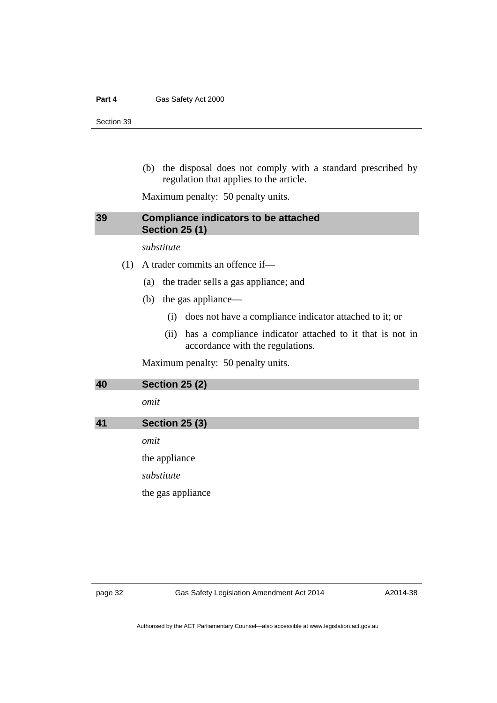(b) the disposal does not comply with a standard prescribed by regulation that applies to the article.

Maximum penalty: 50 penalty units.

## **39 Compliance indicators to be attached Section 25 (1)**

*substitute* 

(1) A trader commits an offence if—

- (a) the trader sells a gas appliance; and
- (b) the gas appliance—
	- (i) does not have a compliance indicator attached to it; or
	- (ii) has a compliance indicator attached to it that is not in accordance with the regulations.

Maximum penalty: 50 penalty units.

| 40 | <b>Section 25 (2)</b> |
|----|-----------------------|
|    | omit                  |
| 41 | <b>Section 25 (3)</b> |
|    | omit                  |
|    | the appliance         |
|    | substitute            |
|    | the gas appliance     |
|    |                       |
|    |                       |
|    |                       |

page 32 Gas Safety Legislation Amendment Act 2014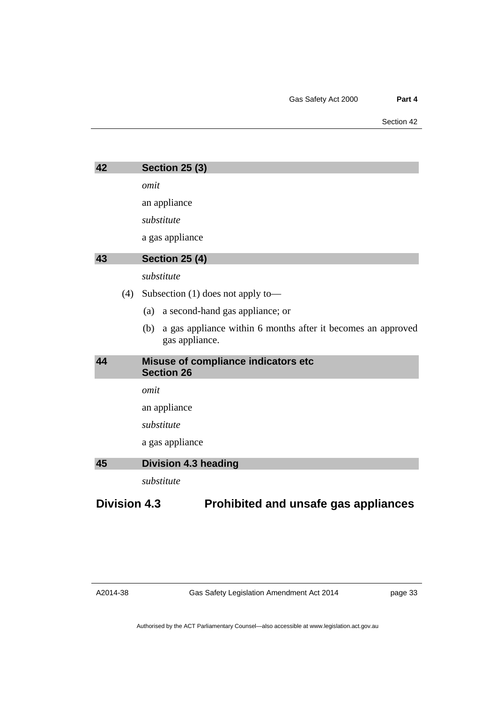| 42                  | <b>Section 25 (3)</b>                                                                 |
|---------------------|---------------------------------------------------------------------------------------|
|                     | omit                                                                                  |
|                     | an appliance                                                                          |
|                     | substitute                                                                            |
|                     | a gas appliance                                                                       |
| 43                  | <b>Section 25 (4)</b>                                                                 |
|                     | substitute                                                                            |
| (4)                 | Subsection $(1)$ does not apply to —                                                  |
|                     | a second-hand gas appliance; or<br>(a)                                                |
|                     | a gas appliance within 6 months after it becomes an approved<br>(b)<br>gas appliance. |
| 44                  | Misuse of compliance indicators etc<br><b>Section 26</b>                              |
|                     | omit                                                                                  |
|                     | an appliance                                                                          |
|                     | substitute                                                                            |
|                     | a gas appliance                                                                       |
| 45                  | <b>Division 4.3 heading</b>                                                           |
|                     | substitute                                                                            |
| <b>Division 4.3</b> | Prohibited and unsafe gas appliances                                                  |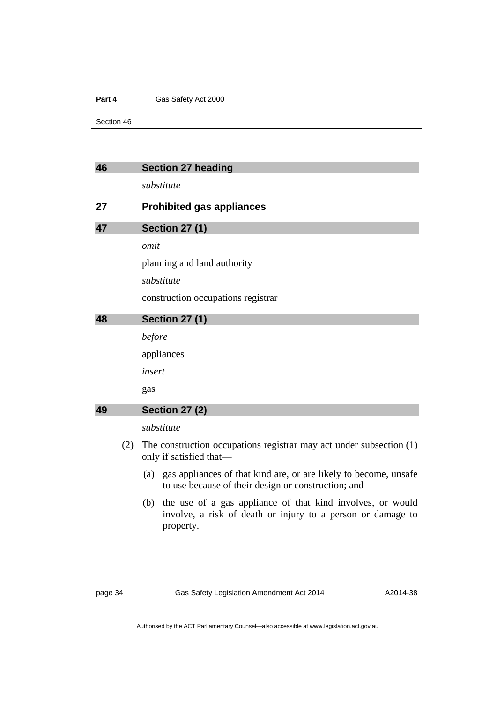Section 46

| The construction occupations registrar may act under subsection (1)                                                       |
|---------------------------------------------------------------------------------------------------------------------------|
| gas appliances of that kind are, or are likely to become, unsafe                                                          |
| the use of a gas appliance of that kind involves, or would<br>involve, a risk of death or injury to a person or damage to |
|                                                                                                                           |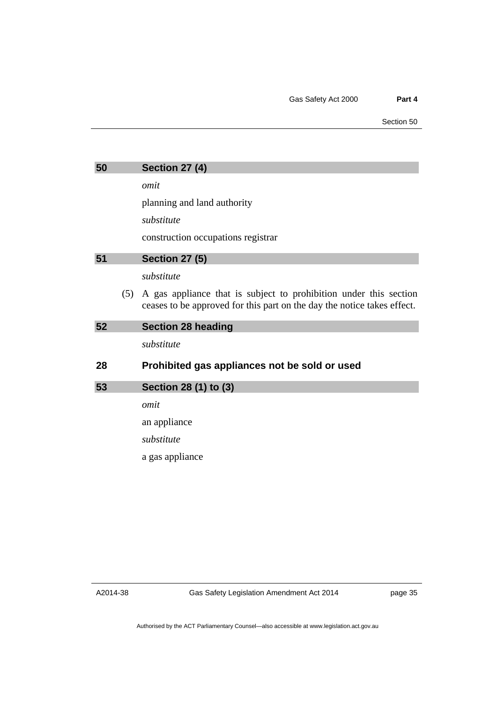| 50 | Section 27 (4) |  |  |
|----|----------------|--|--|
|----|----------------|--|--|

*omit* 

planning and land authority

*substitute* 

construction occupations registrar

| 51 |     | <b>Section 27 (5)</b>                                                                                                                        |
|----|-----|----------------------------------------------------------------------------------------------------------------------------------------------|
|    |     | substitute                                                                                                                                   |
|    | (5) | A gas appliance that is subject to prohibition under this section<br>ceases to be approved for this part on the day the notice takes effect. |
| 52 |     | <b>Section 28 heading</b>                                                                                                                    |
|    |     | substitute                                                                                                                                   |
| 28 |     | Prohibited gas appliances not be sold or used                                                                                                |
| 53 |     | Section 28 (1) to (3)                                                                                                                        |
|    |     | omit                                                                                                                                         |
|    |     |                                                                                                                                              |

an appliance

*substitute* 

a gas appliance

A2014-38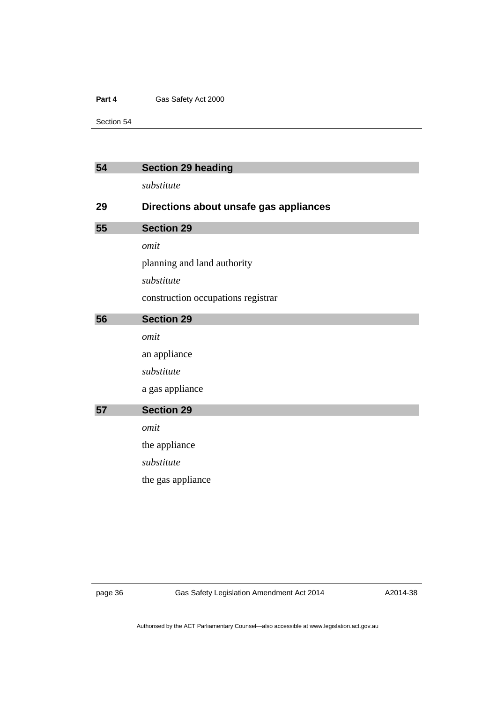Section 54

| 54 | <b>Section 29 heading</b>              |
|----|----------------------------------------|
|    | substitute                             |
| 29 | Directions about unsafe gas appliances |
| 55 | <b>Section 29</b>                      |
|    | omit                                   |
|    | planning and land authority            |
|    | substitute                             |
|    | construction occupations registrar     |
| 56 | <b>Section 29</b>                      |
|    | omit                                   |
|    | an appliance                           |
|    | substitute                             |
|    | a gas appliance                        |
| 57 | <b>Section 29</b>                      |
|    | omit                                   |
|    | the appliance                          |
|    |                                        |
|    | substitute                             |

page 36 Gas Safety Legislation Amendment Act 2014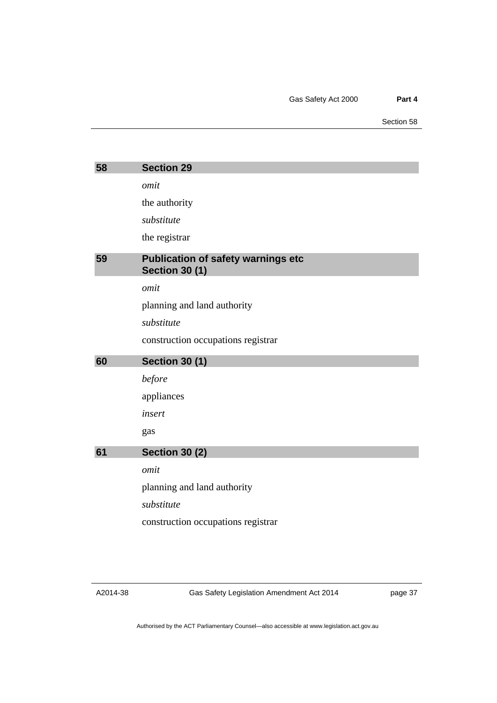| 58 | <b>Section 29</b>                                                  |
|----|--------------------------------------------------------------------|
|    | omit                                                               |
|    | the authority                                                      |
|    | substitute                                                         |
|    |                                                                    |
|    | the registrar                                                      |
| 59 | <b>Publication of safety warnings etc</b><br><b>Section 30 (1)</b> |
|    | omit                                                               |
|    | planning and land authority                                        |
|    | substitute                                                         |
|    | construction occupations registrar                                 |
|    |                                                                    |
| 60 | <b>Section 30 (1)</b>                                              |
|    | before                                                             |
|    | appliances                                                         |
|    | insert                                                             |
|    | gas                                                                |
| 61 | <b>Section 30 (2)</b>                                              |
|    | omit                                                               |
|    | planning and land authority                                        |
|    | substitute                                                         |
|    | construction occupations registrar                                 |

Gas Safety Legislation Amendment Act 2014

page 37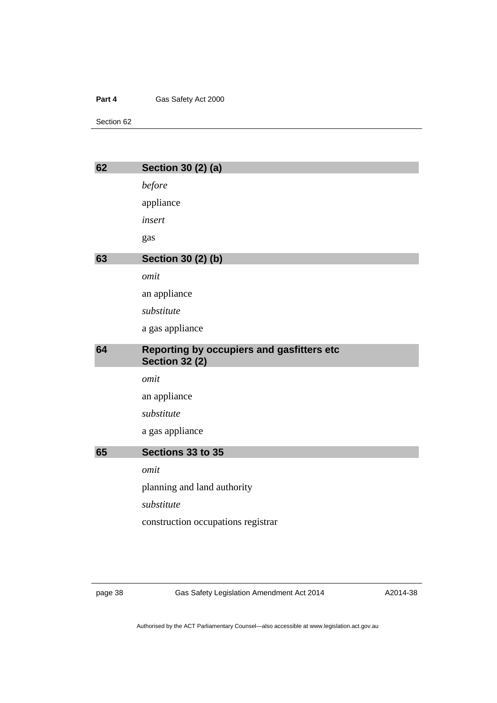Section 62

| 62 | <b>Section 30 (2) (a)</b>                                          |
|----|--------------------------------------------------------------------|
|    | before                                                             |
|    | appliance                                                          |
|    | insert                                                             |
|    | gas                                                                |
| 63 | <b>Section 30 (2) (b)</b>                                          |
|    | omit                                                               |
|    | an appliance                                                       |
|    | substitute                                                         |
|    | a gas appliance                                                    |
| 64 | Reporting by occupiers and gasfitters etc<br><b>Section 32 (2)</b> |
|    | omit                                                               |
|    | an appliance                                                       |
|    | substitute                                                         |
|    | a gas appliance                                                    |
| 65 | Sections 33 to 35                                                  |
|    | omit                                                               |
|    | planning and land authority                                        |
|    | substitute                                                         |
|    | construction occupations registrar                                 |
|    |                                                                    |

page 38 Gas Safety Legislation Amendment Act 2014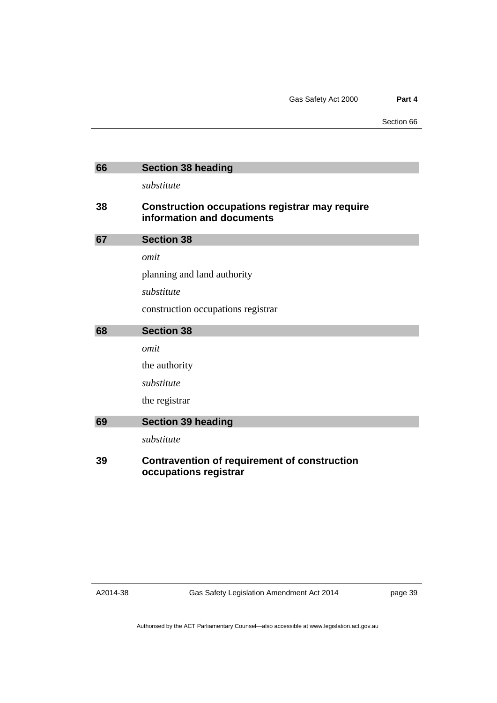| 66 | <b>Section 38 heading</b>                                                          |
|----|------------------------------------------------------------------------------------|
|    | substitute                                                                         |
| 38 | <b>Construction occupations registrar may require</b><br>information and documents |
| 67 | <b>Section 38</b>                                                                  |
|    | omit                                                                               |
|    | planning and land authority                                                        |
|    | substitute                                                                         |
|    | construction occupations registrar                                                 |
| 68 | <b>Section 38</b>                                                                  |
|    | omit                                                                               |
|    | the authority                                                                      |
|    | substitute                                                                         |
|    | the registrar                                                                      |
| 69 | <b>Section 39 heading</b>                                                          |
|    | substitute                                                                         |
| 39 | Contravention of requirement of construction                                       |

**occupations registrar** 

A2014-38

Gas Safety Legislation Amendment Act 2014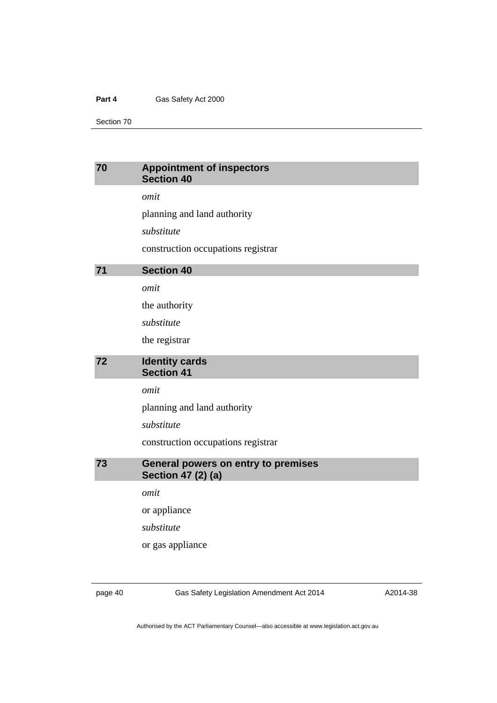Section 70

## **70 Appointment of inspectors Section 40**

*omit* 

planning and land authority

*substitute* 

construction occupations registrar

| 71 | <b>Section 40</b> |
|----|-------------------|
|----|-------------------|

*omit* 

the authority

*substitute* 

the registrar

## **72 Identity cards Section 41**

*omit* 

planning and land authority

*substitute* 

construction occupations registrar

**73 General powers on entry to premises Section 47 (2) (a)** 

*omit* 

or appliance

*substitute* 

or gas appliance

page 40 Gas Safety Legislation Amendment Act 2014

A2014-38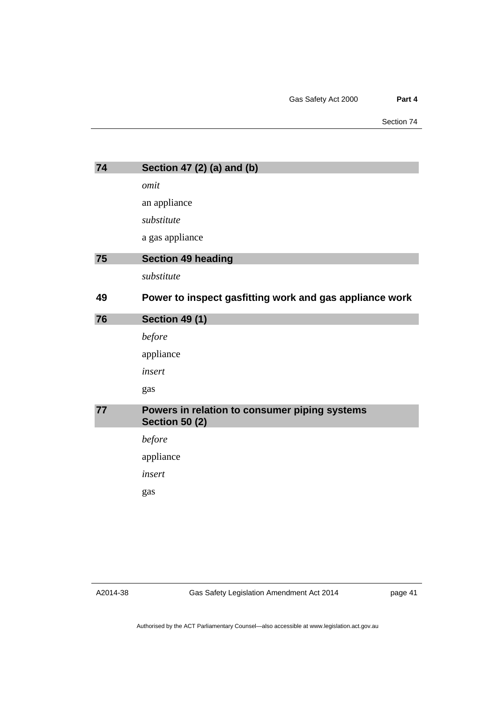| 74 | Section 47 (2) (a) and (b)                                             |
|----|------------------------------------------------------------------------|
|    | omit                                                                   |
|    | an appliance                                                           |
|    | substitute                                                             |
|    | a gas appliance                                                        |
| 75 | <b>Section 49 heading</b>                                              |
|    | substitute                                                             |
| 49 | Power to inspect gasfitting work and gas appliance work                |
| 76 | <b>Section 49 (1)</b>                                                  |
|    | before                                                                 |
|    | appliance                                                              |
|    | insert                                                                 |
|    | gas                                                                    |
| 77 | Powers in relation to consumer piping systems<br><b>Section 50 (2)</b> |
|    | before                                                                 |
|    | appliance                                                              |
|    | insert                                                                 |
|    | gas                                                                    |

A2014-38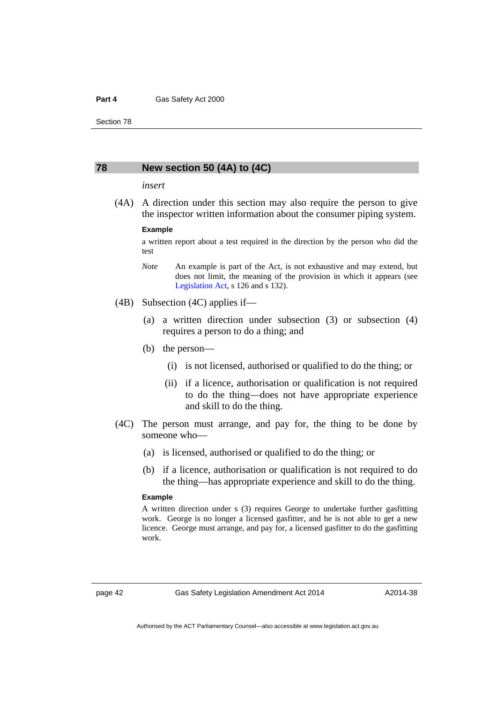#### **78 New section 50 (4A) to (4C)**

#### *insert*

 (4A) A direction under this section may also require the person to give the inspector written information about the consumer piping system.

#### **Example**

a written report about a test required in the direction by the person who did the test

- *Note* An example is part of the Act, is not exhaustive and may extend, but does not limit, the meaning of the provision in which it appears (see [Legislation Act,](http://www.legislation.act.gov.au/a/2001-14) s 126 and s 132).
- (4B) Subsection (4C) applies if—
	- (a) a written direction under subsection (3) or subsection (4) requires a person to do a thing; and
	- (b) the person—
		- (i) is not licensed, authorised or qualified to do the thing; or
		- (ii) if a licence, authorisation or qualification is not required to do the thing—does not have appropriate experience and skill to do the thing.
- (4C) The person must arrange, and pay for, the thing to be done by someone who—
	- (a) is licensed, authorised or qualified to do the thing; or
	- (b) if a licence, authorisation or qualification is not required to do the thing—has appropriate experience and skill to do the thing.

#### **Example**

A written direction under s (3) requires George to undertake further gasfitting work. George is no longer a licensed gasfitter, and he is not able to get a new licence. George must arrange, and pay for, a licensed gasfitter to do the gasfitting work.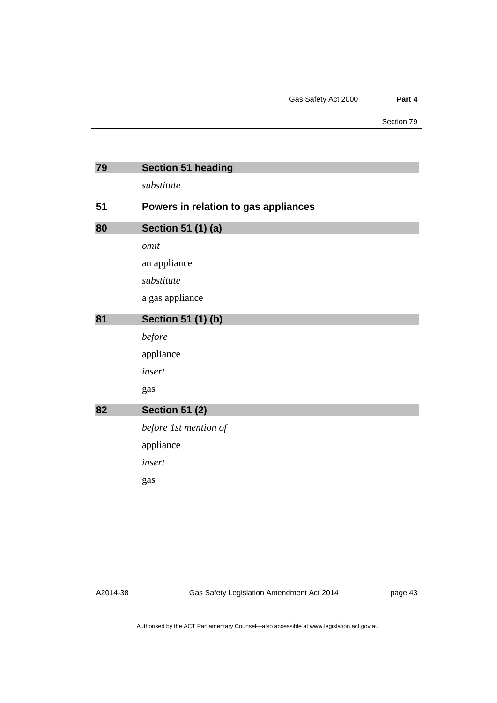| 79 | <b>Section 51 heading</b>            |
|----|--------------------------------------|
|    | substitute                           |
| 51 | Powers in relation to gas appliances |
| 80 | Section 51 (1) (a)                   |
|    | omit                                 |
|    | an appliance                         |
|    | substitute                           |
|    | a gas appliance                      |
| 81 | Section 51 (1) (b)                   |
|    | before                               |
|    | appliance                            |
|    | insert                               |
|    | gas                                  |
| 82 | <b>Section 51 (2)</b>                |
|    | before 1st mention of                |
|    | appliance                            |
|    | insert                               |
|    | gas                                  |
|    |                                      |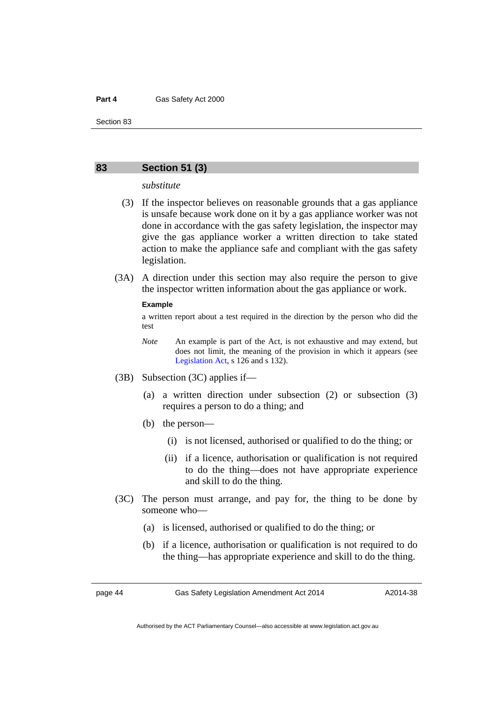### **83 Section 51 (3)**

*substitute* 

- (3) If the inspector believes on reasonable grounds that a gas appliance is unsafe because work done on it by a gas appliance worker was not done in accordance with the gas safety legislation, the inspector may give the gas appliance worker a written direction to take stated action to make the appliance safe and compliant with the gas safety legislation.
- (3A) A direction under this section may also require the person to give the inspector written information about the gas appliance or work.

#### **Example**

a written report about a test required in the direction by the person who did the test

- *Note* An example is part of the Act, is not exhaustive and may extend, but does not limit, the meaning of the provision in which it appears (see [Legislation Act,](http://www.legislation.act.gov.au/a/2001-14) s 126 and s 132).
- (3B) Subsection (3C) applies if—
	- (a) a written direction under subsection (2) or subsection (3) requires a person to do a thing; and
	- (b) the person—
		- (i) is not licensed, authorised or qualified to do the thing; or
		- (ii) if a licence, authorisation or qualification is not required to do the thing—does not have appropriate experience and skill to do the thing.
- (3C) The person must arrange, and pay for, the thing to be done by someone who—
	- (a) is licensed, authorised or qualified to do the thing; or
	- (b) if a licence, authorisation or qualification is not required to do the thing—has appropriate experience and skill to do the thing.

page 44 Gas Safety Legislation Amendment Act 2014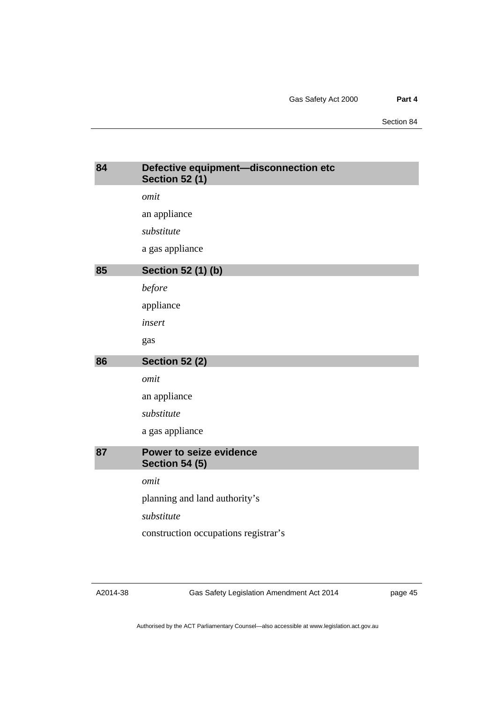| 84 | Defective equipment-disconnection etc<br><b>Section 52 (1)</b> |
|----|----------------------------------------------------------------|
|    | omit                                                           |
|    | an appliance                                                   |
|    | substitute                                                     |
|    | a gas appliance                                                |
| 85 | <b>Section 52 (1) (b)</b>                                      |
|    | before                                                         |
|    | appliance                                                      |
|    | insert                                                         |
|    | gas                                                            |
| 86 | <b>Section 52 (2)</b>                                          |
|    | omit                                                           |
|    | an appliance                                                   |
|    | substitute                                                     |
|    | a gas appliance                                                |
| 87 | Power to seize evidence<br><b>Section 54 (5)</b>               |
|    |                                                                |
|    | omit                                                           |
|    | planning and land authority's                                  |
|    | substitute                                                     |

Gas Safety Legislation Amendment Act 2014

page 45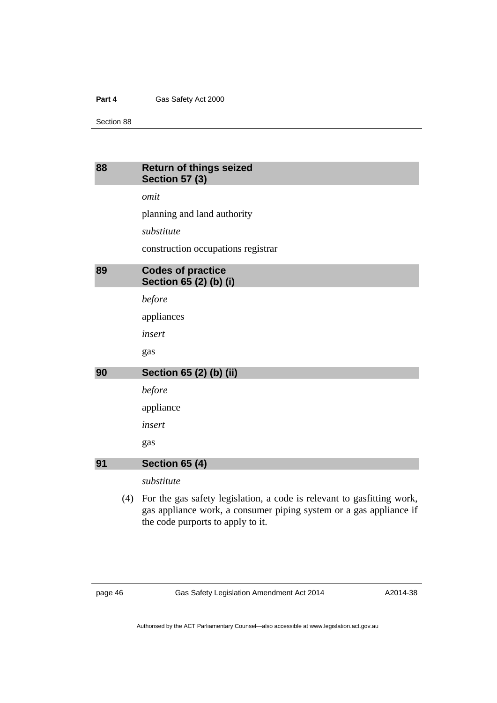Section 88

## **88 Return of things seized Section 57 (3)**

*omit* 

planning and land authority

*substitute* 

construction occupations registrar

| 89 | <b>Codes of practice</b> |
|----|--------------------------|
|    | Section 65 (2) (b) (i)   |
|    |                          |

*before* 

appliances

*insert* 

gas

## **90 Section 65 (2) (b) (ii)**

*before* 

appliance

*insert* 

gas

## **91 Section 65 (4)**

*substitute* 

 (4) For the gas safety legislation, a code is relevant to gasfitting work, gas appliance work, a consumer piping system or a gas appliance if the code purports to apply to it.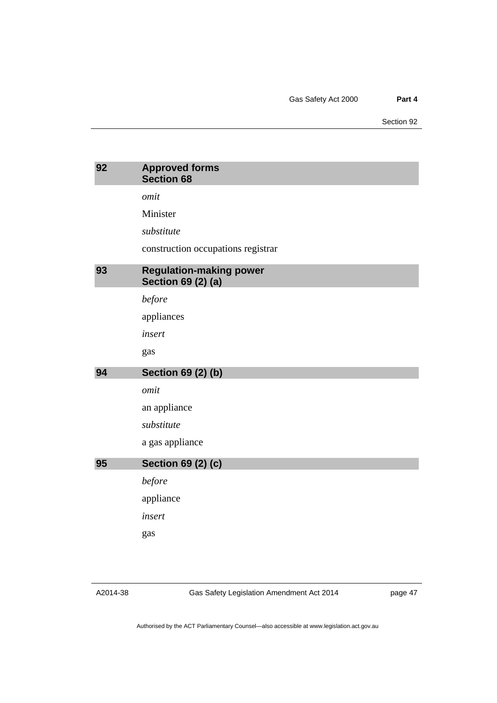| 92 | <b>Approved forms</b><br><b>Section 68</b>                  |
|----|-------------------------------------------------------------|
|    | omit                                                        |
|    | Minister                                                    |
|    | substitute                                                  |
|    | construction occupations registrar                          |
| 93 | <b>Regulation-making power</b><br><b>Section 69 (2) (a)</b> |
|    | before                                                      |
|    | appliances                                                  |
|    | insert                                                      |
|    | gas                                                         |
|    |                                                             |
| 94 | <b>Section 69 (2) (b)</b>                                   |
|    | omit                                                        |
|    | an appliance                                                |
|    | substitute                                                  |
|    | a gas appliance                                             |
| 95 | <b>Section 69 (2) (c)</b>                                   |
|    | before                                                      |
|    | appliance                                                   |
|    | insert                                                      |
|    | gas                                                         |

A2014-38

Gas Safety Legislation Amendment Act 2014

page 47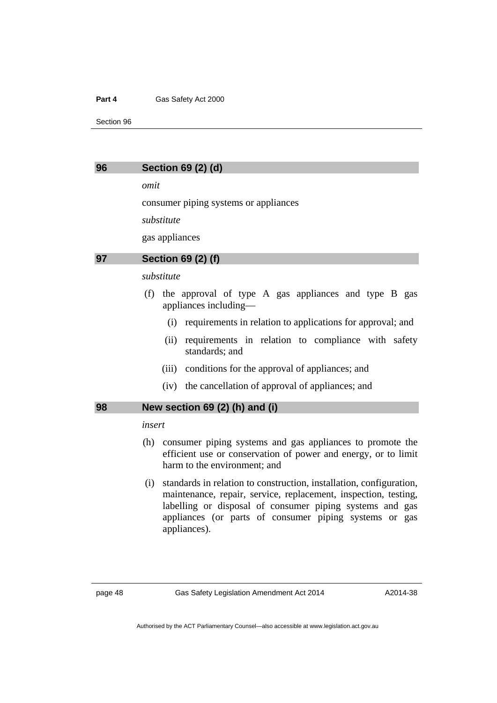Section 96

### **96 Section 69 (2) (d)**

*omit* 

consumer piping systems or appliances

*substitute* 

gas appliances

## **97 Section 69 (2) (f)**

#### *substitute*

- (f) the approval of type A gas appliances and type B gas appliances including—
	- (i) requirements in relation to applications for approval; and
	- (ii) requirements in relation to compliance with safety standards; and
	- (iii) conditions for the approval of appliances; and
	- (iv) the cancellation of approval of appliances; and

## **98 New section 69 (2) (h) and (i)**

## *insert*

- (h) consumer piping systems and gas appliances to promote the efficient use or conservation of power and energy, or to limit harm to the environment; and
- (i) standards in relation to construction, installation, configuration, maintenance, repair, service, replacement, inspection, testing, labelling or disposal of consumer piping systems and gas appliances (or parts of consumer piping systems or gas appliances).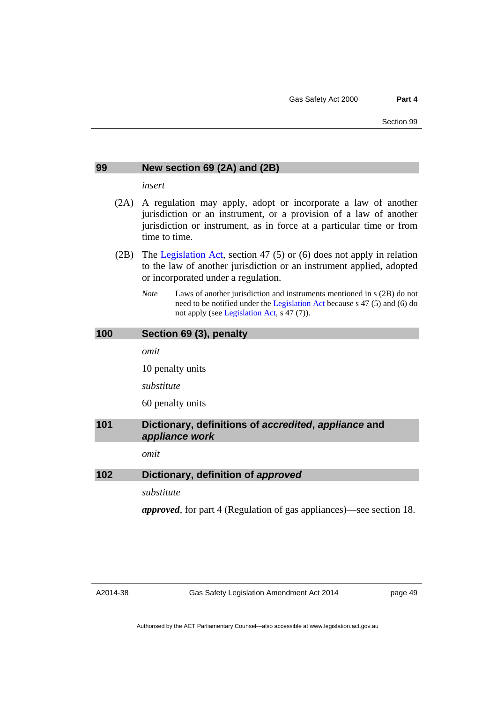#### **99 New section 69 (2A) and (2B)**

*insert* 

- (2A) A regulation may apply, adopt or incorporate a law of another jurisdiction or an instrument, or a provision of a law of another jurisdiction or instrument, as in force at a particular time or from time to time.
- (2B) The [Legislation Act](http://www.legislation.act.gov.au/a/2001-14), section 47 (5) or (6) does not apply in relation to the law of another jurisdiction or an instrument applied, adopted or incorporated under a regulation.
	- *Note* Laws of another jurisdiction and instruments mentioned in s (2B) do not need to be notified under the [Legislation Act](http://www.legislation.act.gov.au/a/2001-14) because s 47 (5) and (6) do not apply (see [Legislation Act,](http://www.legislation.act.gov.au/a/2001-14) s 47 (7)).

### **100 Section 69 (3), penalty**

*omit* 

10 penalty units

*substitute* 

60 penalty units

## **101 Dictionary, definitions of** *accredited***,** *appliance* **and**  *appliance work*

*omit* 

#### **102 Dictionary, definition of** *approved*

*substitute* 

*approved*, for part 4 (Regulation of gas appliances)—see section 18.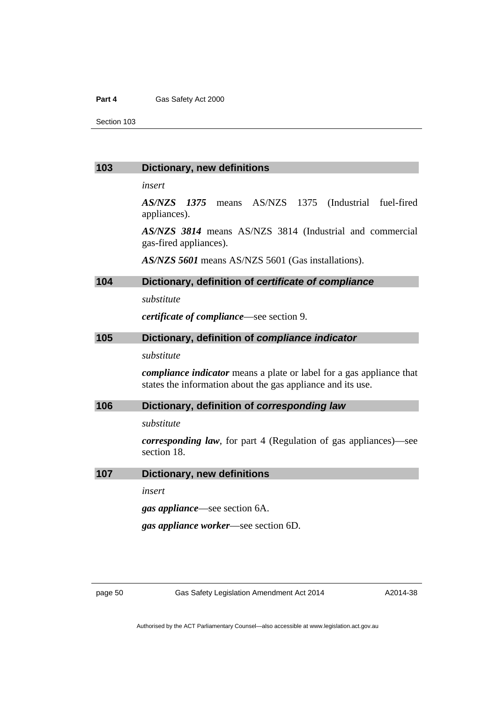Section 103

#### **103 Dictionary, new definitions**

*insert* 

*AS/NZS 1375* means AS/NZS 1375 (Industrial fuel-fired appliances).

*AS/NZS 3814* means AS/NZS 3814 (Industrial and commercial gas-fired appliances).

*AS/NZS 5601* means AS/NZS 5601 (Gas installations).

## **104 Dictionary, definition of** *certificate of compliance*

*substitute* 

*certificate of compliance*—see section 9.

### **105 Dictionary, definition of** *compliance indicator*

*substitute* 

*compliance indicator* means a plate or label for a gas appliance that states the information about the gas appliance and its use.

### **106 Dictionary, definition of** *corresponding law*

*substitute* 

*corresponding law*, for part 4 (Regulation of gas appliances)—see section 18.

#### **107 Dictionary, new definitions**

*insert* 

*gas appliance*—see section 6A.

*gas appliance worker*—see section 6D.

page 50 Gas Safety Legislation Amendment Act 2014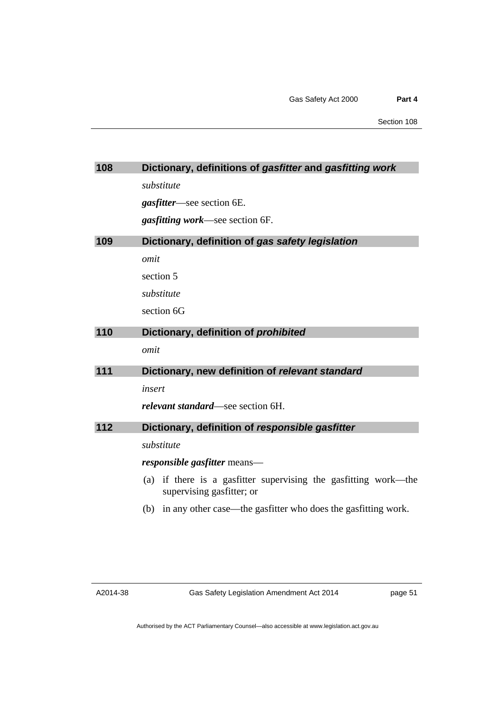| 108 | Dictionary, definitions of gasfitter and gasfitting work                                        |
|-----|-------------------------------------------------------------------------------------------------|
|     | substitute                                                                                      |
|     | <i>gasfitter</i> —see section 6E.                                                               |
|     | <i>gasfitting work</i> —see section 6F.                                                         |
| 109 | Dictionary, definition of gas safety legislation                                                |
|     | omit                                                                                            |
|     | section 5                                                                                       |
|     | substitute                                                                                      |
|     | section 6G                                                                                      |
| 110 | Dictionary, definition of prohibited                                                            |
|     | omit                                                                                            |
| 111 | Dictionary, new definition of relevant standard                                                 |
|     | insert                                                                                          |
|     | <i>relevant standard</i> —see section 6H.                                                       |
| 112 | Dictionary, definition of responsible gasfitter                                                 |
|     | substitute                                                                                      |
|     |                                                                                                 |
|     | <i>responsible gasfitter</i> means—                                                             |
|     | if there is a gasfitter supervising the gasfitting work—the<br>(a)<br>supervising gasfitter; or |
|     | in any other case—the gasfitter who does the gasfitting work.<br>(b)                            |
|     |                                                                                                 |
|     |                                                                                                 |

page 51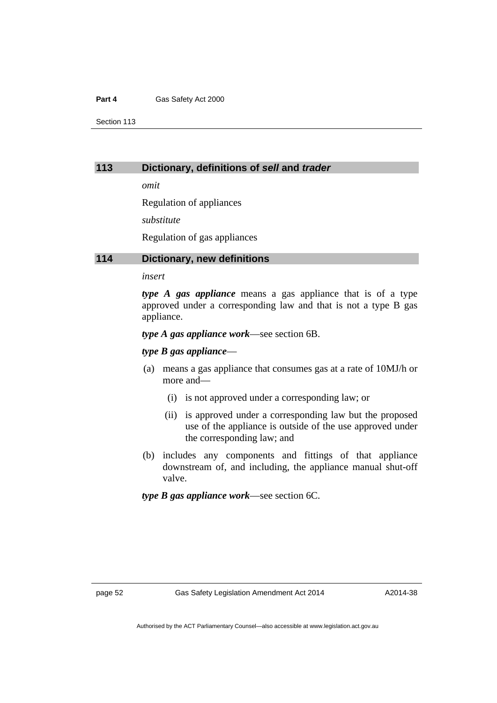Section 113

## **113 Dictionary, definitions of** *sell* **and** *trader*

*omit* 

Regulation of appliances

*substitute* 

Regulation of gas appliances

## **114 Dictionary, new definitions**

#### *insert*

*type A gas appliance* means a gas appliance that is of a type approved under a corresponding law and that is not a type B gas appliance.

*type A gas appliance work*—see section 6B.

#### *type B gas appliance*—

- (a) means a gas appliance that consumes gas at a rate of 10MJ/h or more and—
	- (i) is not approved under a corresponding law; or
	- (ii) is approved under a corresponding law but the proposed use of the appliance is outside of the use approved under the corresponding law; and
- (b) includes any components and fittings of that appliance downstream of, and including, the appliance manual shut-off valve.

*type B gas appliance work*—see section 6C.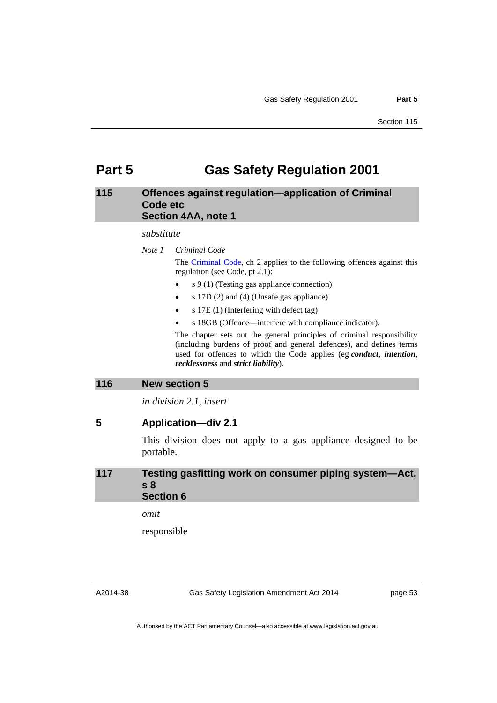# **Part 5 Gas Safety Regulation 2001**

## **115 Offences against regulation—application of Criminal Code etc Section 4AA, note 1**

#### *substitute*

*Note 1 Criminal Code* The [Criminal Code](http://www.legislation.act.gov.au/a/2002-51), ch 2 applies to the following offences against this regulation (see Code, pt 2.1):

- s 9 (1) (Testing gas appliance connection)
- s 17D (2) and (4) (Unsafe gas appliance)
- s 17E (1) (Interfering with defect tag)
- s 18GB (Offence—interfere with compliance indicator).

The chapter sets out the general principles of criminal responsibility (including burdens of proof and general defences), and defines terms used for offences to which the Code applies (eg *conduct*, *intention*, *recklessness* and *strict liability*).

#### **116 New section 5**

*in division 2.1, insert* 

## **5 Application—div 2.1**

This division does not apply to a gas appliance designed to be portable.

## **117 Testing gasfitting work on consumer piping system—Act, s 8 Section 6**

*omit* 

responsible

Gas Safety Legislation Amendment Act 2014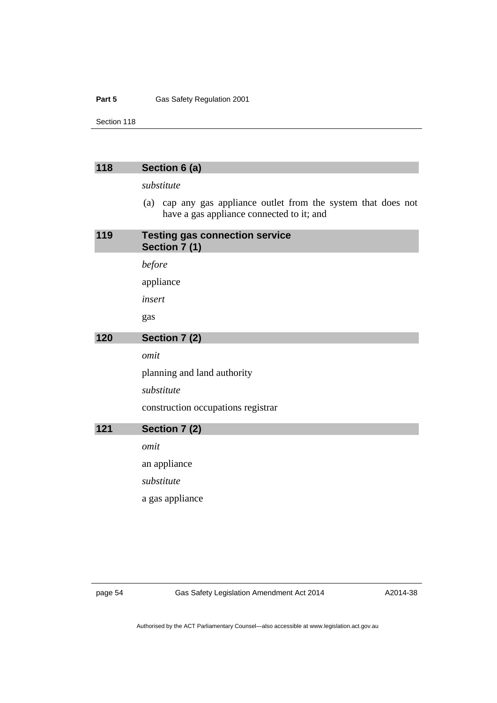#### Part 5 **Gas Safety Regulation 2001**

Section 118

## **118 Section 6 (a)**

*substitute* 

 (a) cap any gas appliance outlet from the system that does not have a gas appliance connected to it; and

| 119 | <b>Testing gas connection service</b><br>Section 7 (1) |
|-----|--------------------------------------------------------|
|     | before                                                 |
|     | appliance                                              |
|     | insert                                                 |
|     | gas                                                    |
| 120 | Section 7 (2)                                          |
|     | omit                                                   |
|     | planning and land authority                            |
|     | substitute                                             |
|     | construction occupations registrar                     |
| 121 | Section 7 (2)                                          |
|     | omit                                                   |
|     | an appliance                                           |
|     | substitute                                             |
|     | a gas appliance                                        |
|     |                                                        |

page 54 Gas Safety Legislation Amendment Act 2014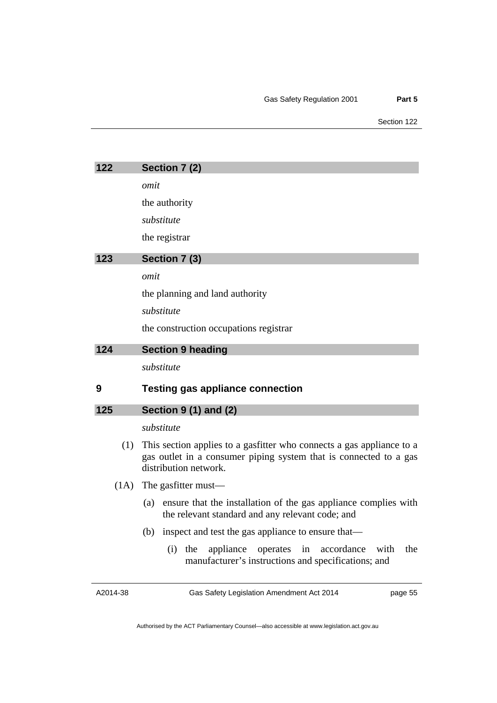| 122  | Section 7 (2)                                                                                                                                                       |
|------|---------------------------------------------------------------------------------------------------------------------------------------------------------------------|
|      | omit                                                                                                                                                                |
|      | the authority                                                                                                                                                       |
|      | substitute                                                                                                                                                          |
|      | the registrar                                                                                                                                                       |
| 123  | Section 7 (3)                                                                                                                                                       |
|      | omit                                                                                                                                                                |
|      | the planning and land authority                                                                                                                                     |
|      | substitute                                                                                                                                                          |
|      | the construction occupations registrar                                                                                                                              |
| 124  | <b>Section 9 heading</b>                                                                                                                                            |
|      | substitute                                                                                                                                                          |
| 9    | <b>Testing gas appliance connection</b>                                                                                                                             |
| 125  | <b>Section 9 (1) and (2)</b>                                                                                                                                        |
|      | substitute                                                                                                                                                          |
| (1)  | This section applies to a gasfitter who connects a gas appliance to a<br>gas outlet in a consumer piping system that is connected to a gas<br>distribution network. |
| (1A) | The gasfitter must—                                                                                                                                                 |
|      | ensure that the installation of the gas appliance complies with<br>(a)<br>the relevant standard and any relevant code; and                                          |
|      | (b) inspect and test the gas appliance to ensure that—                                                                                                              |
|      | the<br>appliance<br>accordance<br>with<br>the<br>(i)<br>operates<br>in<br>manufacturer's instructions and specifications; and                                       |

A2014-38

Gas Safety Legislation Amendment Act 2014

page 55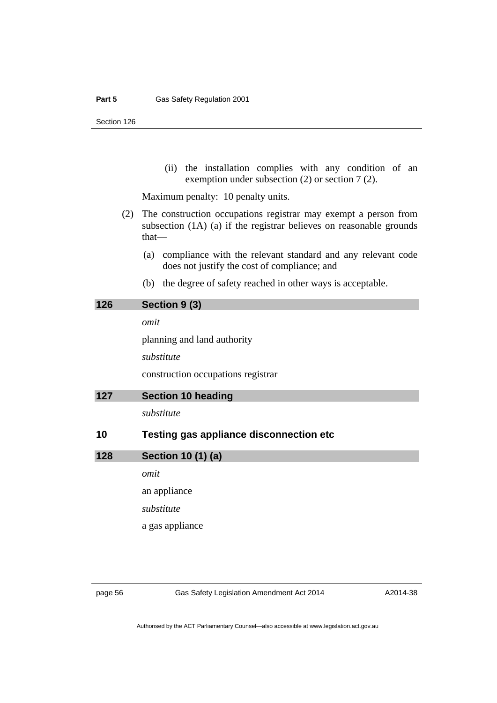(ii) the installation complies with any condition of an exemption under subsection (2) or section 7 (2).

Maximum penalty: 10 penalty units.

- (2) The construction occupations registrar may exempt a person from subsection (1A) (a) if the registrar believes on reasonable grounds that—
	- (a) compliance with the relevant standard and any relevant code does not justify the cost of compliance; and
	- (b) the degree of safety reached in other ways is acceptable.

| 126 | Section 9 (3)                                  |
|-----|------------------------------------------------|
|     | omit                                           |
|     | planning and land authority                    |
|     | substitute                                     |
|     | construction occupations registrar             |
| 127 | <b>Section 10 heading</b>                      |
|     | substitute                                     |
| 10  | <b>Testing gas appliance disconnection etc</b> |
| 128 | Section 10 (1) (a)                             |
|     | omit                                           |
|     | an appliance                                   |
|     | substitute                                     |

a gas appliance

page 56 Gas Safety Legislation Amendment Act 2014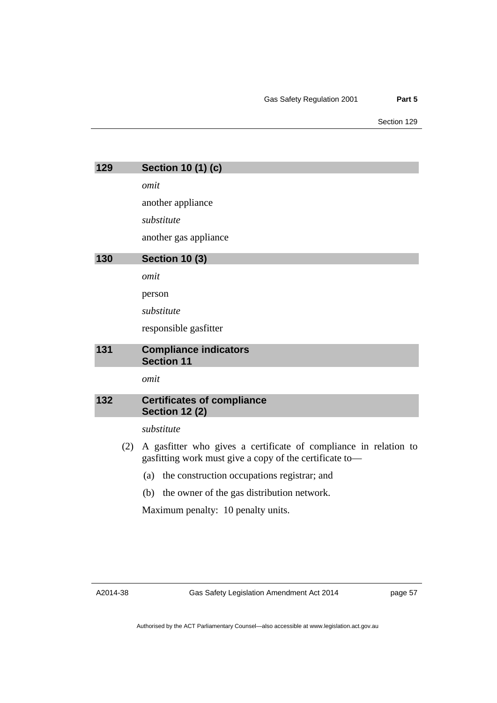| 129 | <b>Section 10 (1) (c)</b>                                                                                                   |
|-----|-----------------------------------------------------------------------------------------------------------------------------|
|     | omit                                                                                                                        |
|     | another appliance                                                                                                           |
|     | substitute                                                                                                                  |
|     | another gas appliance                                                                                                       |
| 130 | <b>Section 10 (3)</b>                                                                                                       |
|     | omit                                                                                                                        |
|     | person                                                                                                                      |
|     | substitute                                                                                                                  |
|     | responsible gasfitter                                                                                                       |
| 131 | <b>Compliance indicators</b><br><b>Section 11</b>                                                                           |
|     | omit                                                                                                                        |
| 132 | <b>Certificates of compliance</b><br><b>Section 12 (2)</b>                                                                  |
|     | substitute                                                                                                                  |
| (2) | A gasfitter who gives a certificate of compliance in relation to<br>gasfitting work must give a copy of the certificate to- |
|     | the construction occupations registrar; and<br>(a)                                                                          |
|     | (b) the owner of the gas distribution network.                                                                              |
|     | Maximum penalty: 10 penalty units.                                                                                          |
|     |                                                                                                                             |

A2014-38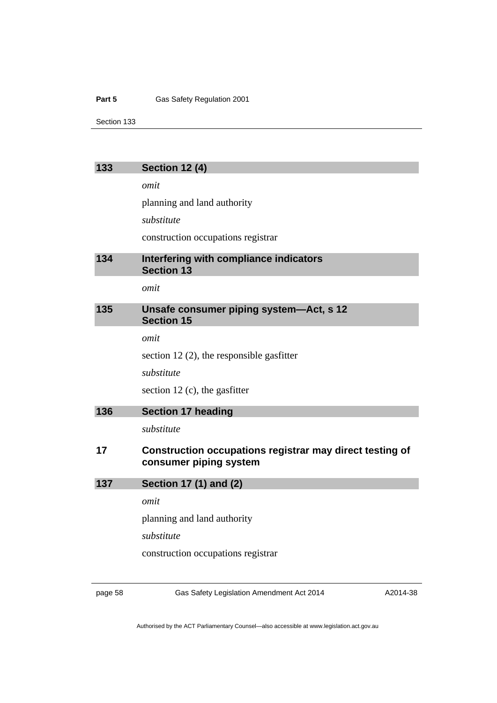#### Part 5 **Gas Safety Regulation 2001**

Section 133

## **133 Section 12 (4)**

*omit* 

planning and land authority

*substitute* 

construction occupations registrar

## **134 Interfering with compliance indicators Section 13**

*omit* 

## **135 Unsafe consumer piping system—Act, s 12 Section 15**

*omit* 

section 12 (2), the responsible gasfitter

*substitute* 

section 12 (c), the gasfitter

| <b>Section 17 heading</b> | 136 |  |  |  |
|---------------------------|-----|--|--|--|
|---------------------------|-----|--|--|--|

*substitute* 

## **17 Construction occupations registrar may direct testing of consumer piping system**

**137 Section 17 (1) and (2)** 

*omit* 

planning and land authority

*substitute* 

construction occupations registrar

page 58 Gas Safety Legislation Amendment Act 2014

A2014-38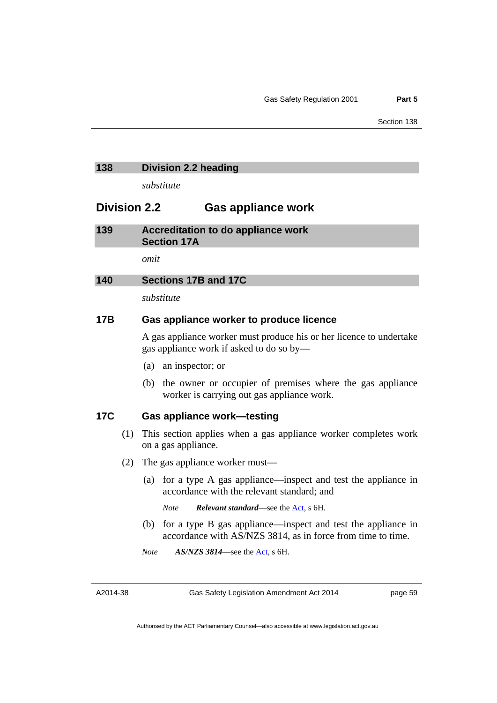## **138 Division 2.2 heading**

*substitute* 

## **Division 2.2 Gas appliance work**

| 139 | Accreditation to do appliance work |  |
|-----|------------------------------------|--|
|     | <b>Section 17A</b>                 |  |

*omit* 

## **140 Sections 17B and 17C**

*substitute* 

## **17B Gas appliance worker to produce licence**

 A gas appliance worker must produce his or her licence to undertake gas appliance work if asked to do so by—

- (a) an inspector; or
- (b) the owner or occupier of premises where the gas appliance worker is carrying out gas appliance work.

## **17C Gas appliance work—testing**

- (1) This section applies when a gas appliance worker completes work on a gas appliance.
- (2) The gas appliance worker must—
	- (a) for a type A gas appliance—inspect and test the appliance in accordance with the relevant standard; and
		- *Note Relevant standard*—see the [Act](http://www.legislation.act.gov.au/a/2000-67/default.asp), s 6H.
	- (b) for a type B gas appliance—inspect and test the appliance in accordance with AS/NZS 3814, as in force from time to time.
	- *Note AS/NZS 3814*—see the [Act,](http://www.legislation.act.gov.au/a/2000-67/default.asp) s 6H.

A2014-38

Gas Safety Legislation Amendment Act 2014

page 59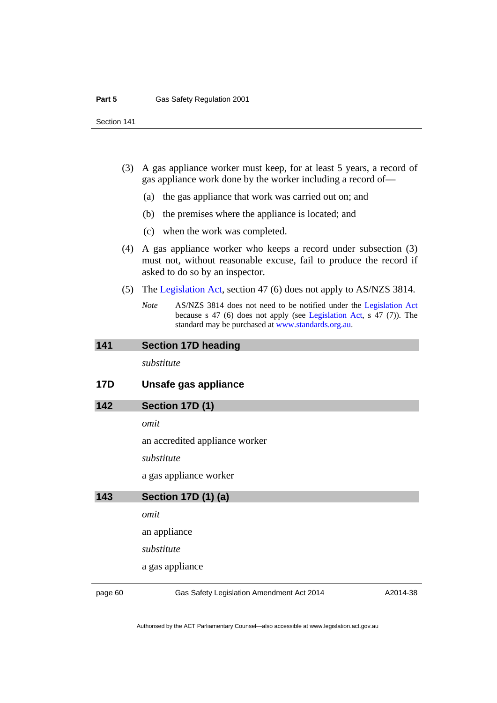- (3) A gas appliance worker must keep, for at least 5 years, a record of gas appliance work done by the worker including a record of—
	- (a) the gas appliance that work was carried out on; and
	- (b) the premises where the appliance is located; and
	- (c) when the work was completed.
- (4) A gas appliance worker who keeps a record under subsection (3) must not, without reasonable excuse, fail to produce the record if asked to do so by an inspector.
- (5) The [Legislation Act](http://www.legislation.act.gov.au/a/2001-14), section 47 (6) does not apply to AS/NZS 3814.
	- *Note* AS/NZS 3814 does not need to be notified under the [Legislation Act](http://www.legislation.act.gov.au/a/2001-14) because s 47 (6) does not apply (see [Legislation Act](http://www.legislation.act.gov.au/a/2001-14), s 47 (7)). The standard may be purchased at [www.standards.org.au.](http://www.standards.org.au/)

#### **141 Section 17D heading**

*substitute* 

## **17D Unsafe gas appliance**

## **142 Section 17D (1)**

*omit* 

an accredited appliance worker

*substitute* 

a gas appliance worker

#### **143 Section 17D (1) (a)**

*omit* 

an appliance

*substitute* 

a gas appliance

page 60 Gas Safety Legislation Amendment Act 2014

A2014-38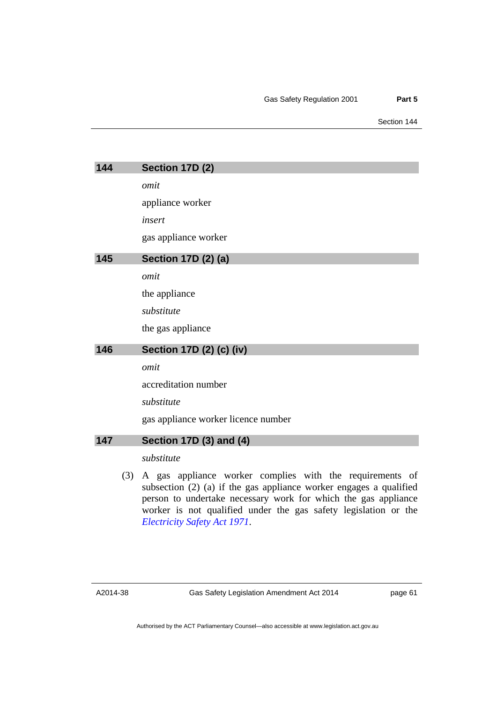| 144 |     | Section 17D (2)                                          |
|-----|-----|----------------------------------------------------------|
|     |     | omit                                                     |
|     |     | appliance worker                                         |
|     |     | insert                                                   |
|     |     | gas appliance worker                                     |
| 145 |     | Section 17D (2) (a)                                      |
|     |     | omit                                                     |
|     |     | the appliance                                            |
|     |     | substitute                                               |
|     |     | the gas appliance                                        |
| 146 |     | Section 17D (2) (c) (iv)                                 |
|     |     | omit                                                     |
|     |     | accreditation number                                     |
|     |     | substitute                                               |
|     |     | gas appliance worker licence number                      |
| 147 |     | Section 17D (3) and (4)                                  |
|     |     | substitute                                               |
|     | (3) | A gas appliance worker complies with the requirements of |

subsection (2) (a) if the gas appliance worker engages a qualified person to undertake necessary work for which the gas appliance worker is not qualified under the gas safety legislation or the *[Electricity Safety Act 1971](http://www.legislation.act.gov.au/a/1971-30)*.

A2014-38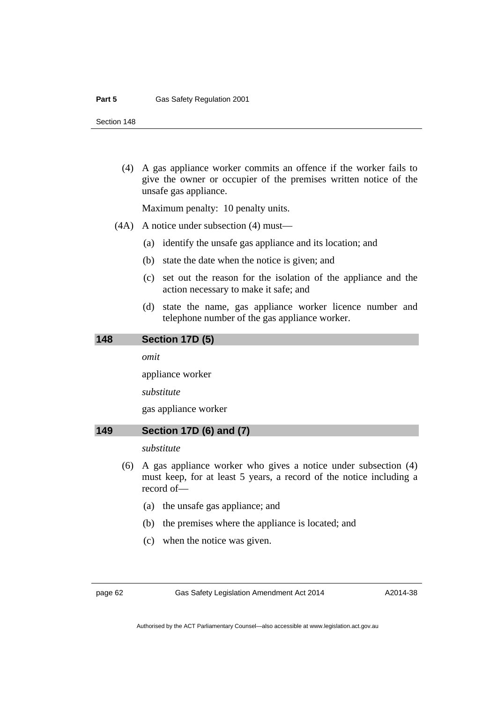(4) A gas appliance worker commits an offence if the worker fails to give the owner or occupier of the premises written notice of the unsafe gas appliance.

Maximum penalty: 10 penalty units.

- (4A) A notice under subsection (4) must—
	- (a) identify the unsafe gas appliance and its location; and
	- (b) state the date when the notice is given; and
	- (c) set out the reason for the isolation of the appliance and the action necessary to make it safe; and
	- (d) state the name, gas appliance worker licence number and telephone number of the gas appliance worker.

#### **148 Section 17D (5)**

*omit* 

appliance worker

*substitute* 

gas appliance worker

## **149 Section 17D (6) and (7)**

### *substitute*

- (6) A gas appliance worker who gives a notice under subsection (4) must keep, for at least 5 years, a record of the notice including a record of—
	- (a) the unsafe gas appliance; and
	- (b) the premises where the appliance is located; and
	- (c) when the notice was given.

page 62 Gas Safety Legislation Amendment Act 2014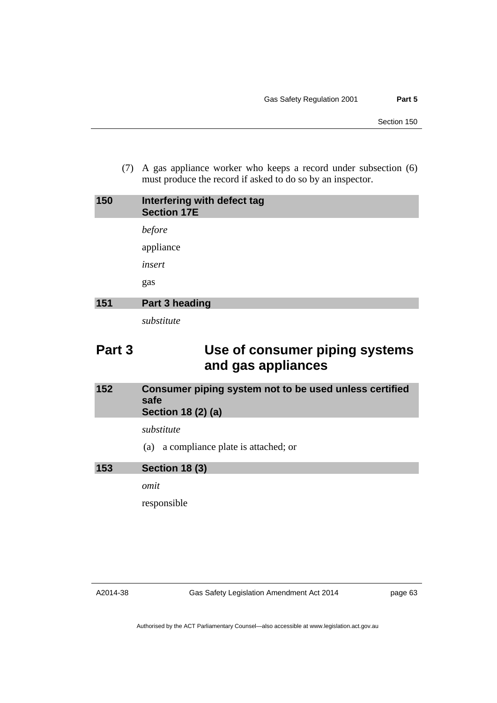(7) A gas appliance worker who keeps a record under subsection (6) must produce the record if asked to do so by an inspector.

| 150 | Interfering with defect tag<br><b>Section 17E</b> |
|-----|---------------------------------------------------|
|     | before                                            |
|     | appliance                                         |
|     | insert                                            |
|     | gas                                               |
| 151 | Part 3 heading                                    |
|     | substitute                                        |

# **Part 3 Use of consumer piping systems and gas appliances**

## **152 Consumer piping system not to be used unless certified safe Section 18 (2) (a)**

## *substitute*

(a) a compliance plate is attached; or

## **153 Section 18 (3)**

*omit* 

responsible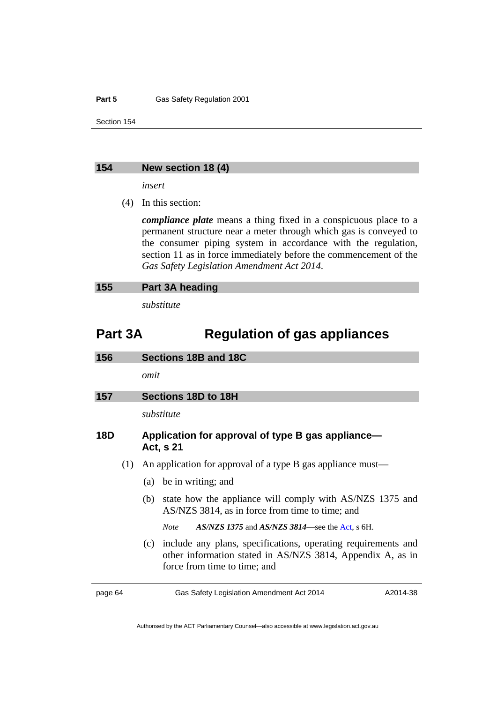#### Part 5 **Gas Safety Regulation 2001**

Section 154

#### **154 New section 18 (4)**

*insert* 

(4) In this section:

*compliance plate* means a thing fixed in a conspicuous place to a permanent structure near a meter through which gas is conveyed to the consumer piping system in accordance with the regulation, section 11 as in force immediately before the commencement of the *Gas Safety Legislation Amendment Act 2014*.

*substitute* 

# **Part 3A Regulation of gas appliances**

| 156        | Sections 18B and 18C                                           |
|------------|----------------------------------------------------------------|
|            | omit                                                           |
| 157        | Sections 18D to 18H                                            |
|            | substitute                                                     |
| <b>18D</b> | Application for approval of type B gas appliance—<br>Act. s 21 |

- (1) An application for approval of a type B gas appliance must—
	- (a) be in writing; and
	- (b) state how the appliance will comply with AS/NZS 1375 and AS/NZS 3814, as in force from time to time; and
		- *Note AS/NZS 1375* and *AS/NZS 3814*—see the [Act,](http://www.legislation.act.gov.au/a/2000-67/default.asp) s 6H.
	- (c) include any plans, specifications, operating requirements and other information stated in AS/NZS 3814, Appendix A, as in force from time to time; and

page 64 Gas Safety Legislation Amendment Act 2014

A2014-38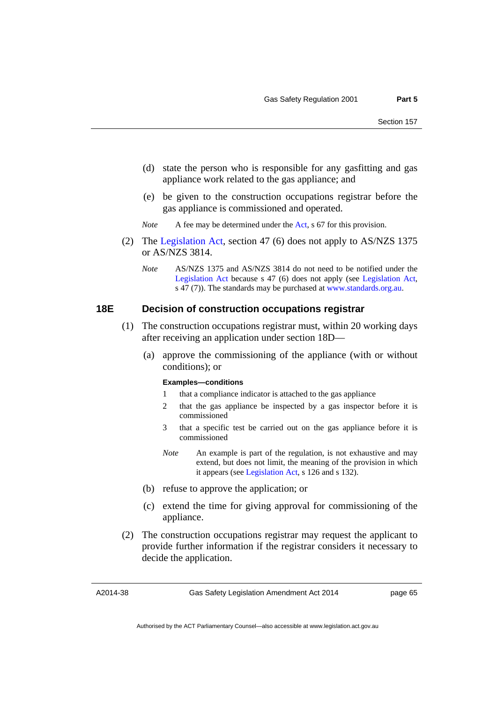- (d) state the person who is responsible for any gasfitting and gas appliance work related to the gas appliance; and
- (e) be given to the construction occupations registrar before the gas appliance is commissioned and operated.

*Note* A fee may be determined under the [Act](http://www.legislation.act.gov.au/a/2000-67/default.asp), s 67 for this provision.

- (2) The [Legislation Act](http://www.legislation.act.gov.au/a/2001-14), section 47 (6) does not apply to AS/NZS 1375 or AS/NZS 3814.
	- *Note* AS/NZS 1375 and AS/NZS 3814 do not need to be notified under the [Legislation Act](http://www.legislation.act.gov.au/a/2001-14) because s 47 (6) does not apply (see [Legislation Act,](http://www.legislation.act.gov.au/a/2001-14) s 47 (7)). The standards may be purchased at [www.standards.org.au](http://www.standards.org.au/).

# **18E Decision of construction occupations registrar**

- (1) The construction occupations registrar must, within 20 working days after receiving an application under section 18D—
	- (a) approve the commissioning of the appliance (with or without conditions); or

#### **Examples—conditions**

- 1 that a compliance indicator is attached to the gas appliance
- 2 that the gas appliance be inspected by a gas inspector before it is commissioned
- 3 that a specific test be carried out on the gas appliance before it is commissioned
- *Note* An example is part of the regulation, is not exhaustive and may extend, but does not limit, the meaning of the provision in which it appears (see [Legislation Act,](http://www.legislation.act.gov.au/a/2001-14) s 126 and s 132).
- (b) refuse to approve the application; or
- (c) extend the time for giving approval for commissioning of the appliance.
- (2) The construction occupations registrar may request the applicant to provide further information if the registrar considers it necessary to decide the application.

A2014-38

Gas Safety Legislation Amendment Act 2014

page 65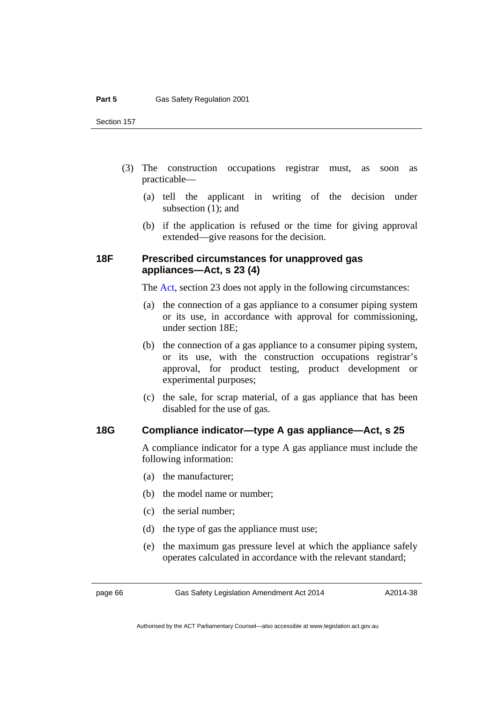Section 157

- (3) The construction occupations registrar must, as soon as practicable—
	- (a) tell the applicant in writing of the decision under subsection (1); and
	- (b) if the application is refused or the time for giving approval extended—give reasons for the decision.

# **18F Prescribed circumstances for unapproved gas appliances—Act, s 23 (4)**

The [Act](http://www.legislation.act.gov.au/a/2000-67/default.asp), section 23 does not apply in the following circumstances:

- (a) the connection of a gas appliance to a consumer piping system or its use, in accordance with approval for commissioning, under section 18E;
- (b) the connection of a gas appliance to a consumer piping system, or its use, with the construction occupations registrar's approval, for product testing, product development or experimental purposes;
- (c) the sale, for scrap material, of a gas appliance that has been disabled for the use of gas.

# **18G Compliance indicator—type A gas appliance—Act, s 25**

A compliance indicator for a type A gas appliance must include the following information:

- (a) the manufacturer;
- (b) the model name or number;
- (c) the serial number;
- (d) the type of gas the appliance must use;
- (e) the maximum gas pressure level at which the appliance safely operates calculated in accordance with the relevant standard;

page 66 Gas Safety Legislation Amendment Act 2014

A2014-38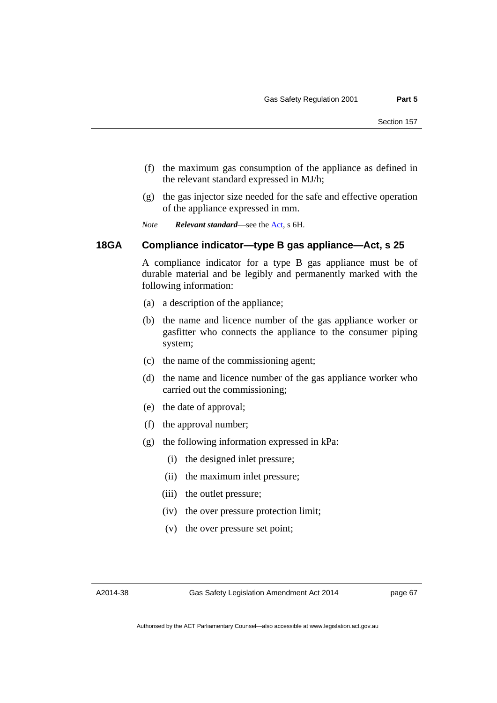- (f) the maximum gas consumption of the appliance as defined in the relevant standard expressed in MJ/h;
- (g) the gas injector size needed for the safe and effective operation of the appliance expressed in mm.

*Note Relevant standard*—see the [Act](http://www.legislation.act.gov.au/a/2000-67/default.asp), s 6H.

# **18GA Compliance indicator—type B gas appliance—Act, s 25**

A compliance indicator for a type B gas appliance must be of durable material and be legibly and permanently marked with the following information:

- (a) a description of the appliance;
- (b) the name and licence number of the gas appliance worker or gasfitter who connects the appliance to the consumer piping system;
- (c) the name of the commissioning agent;
- (d) the name and licence number of the gas appliance worker who carried out the commissioning;
- (e) the date of approval;
- (f) the approval number;
- (g) the following information expressed in kPa:
	- (i) the designed inlet pressure;
	- (ii) the maximum inlet pressure;
	- (iii) the outlet pressure;
	- (iv) the over pressure protection limit;
	- (v) the over pressure set point;

A2014-38

page 67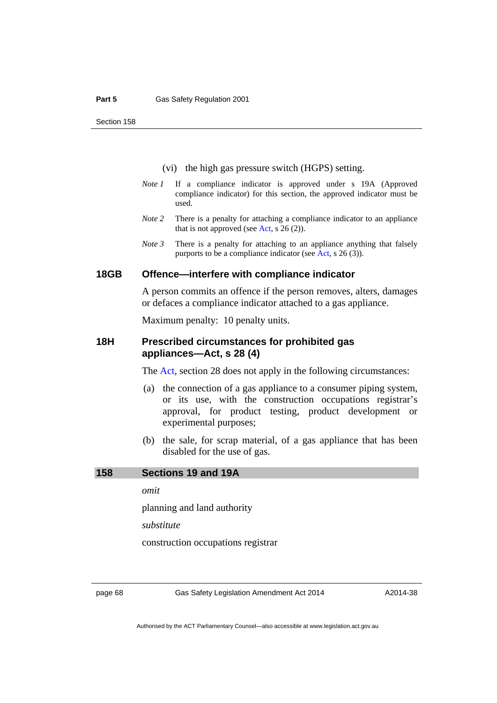Section 158

- (vi) the high gas pressure switch (HGPS) setting.
- *Note 1* If a compliance indicator is approved under s 19A (Approved compliance indicator) for this section, the approved indicator must be used.
- *Note 2* There is a penalty for attaching a compliance indicator to an appliance that is not approved (see [Act,](http://www.legislation.act.gov.au/a/2000-67/default.asp) s  $26(2)$ ).
- *Note 3* There is a penalty for attaching to an appliance anything that falsely purports to be a compliance indicator (see [Act,](http://www.legislation.act.gov.au/a/2000-67/default.asp) s 26 (3)).

#### **18GB Offence—interfere with compliance indicator**

 A person commits an offence if the person removes, alters, damages or defaces a compliance indicator attached to a gas appliance.

Maximum penalty: 10 penalty units.

# **18H Prescribed circumstances for prohibited gas appliances—Act, s 28 (4)**

The [Act](http://www.legislation.act.gov.au/a/2000-67/default.asp), section 28 does not apply in the following circumstances:

- (a) the connection of a gas appliance to a consumer piping system, or its use, with the construction occupations registrar's approval, for product testing, product development or experimental purposes;
- (b) the sale, for scrap material, of a gas appliance that has been disabled for the use of gas.

### **158 Sections 19 and 19A**

*omit* 

planning and land authority

*substitute* 

construction occupations registrar

page 68 Gas Safety Legislation Amendment Act 2014

A2014-38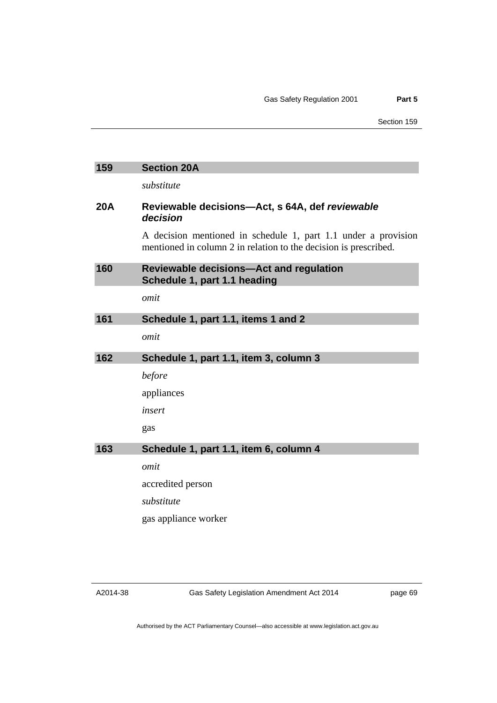| 159        | <b>Section 20A</b>                                                                                                                 |
|------------|------------------------------------------------------------------------------------------------------------------------------------|
|            | substitute                                                                                                                         |
| <b>20A</b> | Reviewable decisions-Act, s 64A, def reviewable<br>decision                                                                        |
|            | A decision mentioned in schedule 1, part 1.1 under a provision<br>mentioned in column 2 in relation to the decision is prescribed. |
| 160        | <b>Reviewable decisions-Act and regulation</b><br>Schedule 1, part 1.1 heading                                                     |
|            | omit                                                                                                                               |
| 161        | Schedule 1, part 1.1, items 1 and 2                                                                                                |
|            | omit                                                                                                                               |
| 162        | Schedule 1, part 1.1, item 3, column 3                                                                                             |
|            | before                                                                                                                             |
|            | appliances                                                                                                                         |
|            | insert                                                                                                                             |
|            | gas                                                                                                                                |
| 163        | Schedule 1, part 1.1, item 6, column 4                                                                                             |
|            | omit                                                                                                                               |
|            | accredited person                                                                                                                  |
|            | substitute                                                                                                                         |
|            | gas appliance worker                                                                                                               |
|            |                                                                                                                                    |

Gas Safety Legislation Amendment Act 2014

page 69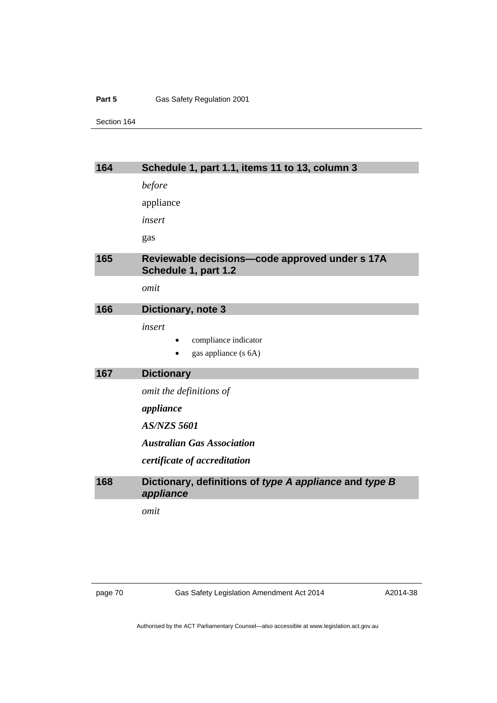#### Part 5 **Gas Safety Regulation 2001**

Section 164

| 164 | Schedule 1, part 1.1, items 11 to 13, column 3                         |
|-----|------------------------------------------------------------------------|
|     | before                                                                 |
|     | appliance                                                              |
|     | insert                                                                 |
|     | gas                                                                    |
| 165 | Reviewable decisions-code approved under s 17A<br>Schedule 1, part 1.2 |
|     | omit                                                                   |
| 166 | Dictionary, note 3                                                     |
|     | insert<br>compliance indicator<br>gas appliance (s 6A)                 |
| 167 | <b>Dictionary</b>                                                      |
|     | omit the definitions of                                                |
|     | appliance                                                              |
|     |                                                                        |
|     | <b>AS/NZS 5601</b>                                                     |
|     | <b>Australian Gas Association</b>                                      |
|     | certificate of accreditation                                           |
| 168 | Dictionary, definitions of type A appliance and type B<br>appliance    |
|     | omit                                                                   |

page 70 Gas Safety Legislation Amendment Act 2014

A2014-38